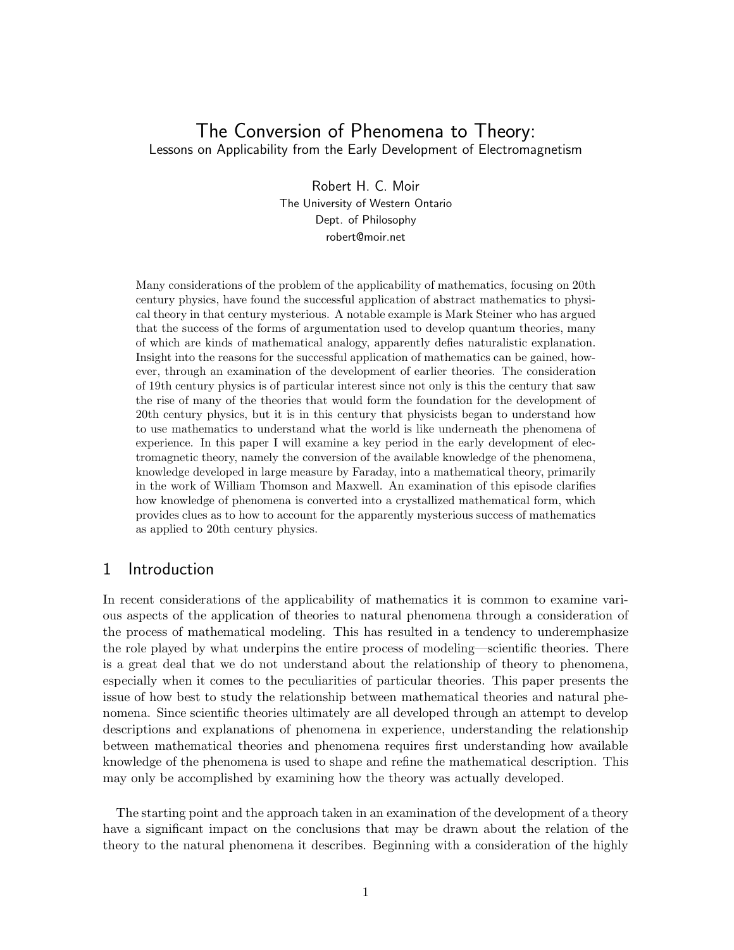# The Conversion of Phenomena to Theory: Lessons on Applicability from the Early Development of Electromagnetism

Robert H. C. Moir The University of Western Ontario Dept. of Philosophy robert@moir.net

Many considerations of the problem of the applicability of mathematics, focusing on 20th century physics, have found the successful application of abstract mathematics to physical theory in that century mysterious. A notable example is Mark Steiner who has argued that the success of the forms of argumentation used to develop quantum theories, many of which are kinds of mathematical analogy, apparently defies naturalistic explanation. Insight into the reasons for the successful application of mathematics can be gained, however, through an examination of the development of earlier theories. The consideration of 19th century physics is of particular interest since not only is this the century that saw the rise of many of the theories that would form the foundation for the development of 20th century physics, but it is in this century that physicists began to understand how to use mathematics to understand what the world is like underneath the phenomena of experience. In this paper I will examine a key period in the early development of electromagnetic theory, namely the conversion of the available knowledge of the phenomena, knowledge developed in large measure by Faraday, into a mathematical theory, primarily in the work of William Thomson and Maxwell. An examination of this episode clarifies how knowledge of phenomena is converted into a crystallized mathematical form, which provides clues as to how to account for the apparently mysterious success of mathematics as applied to 20th century physics.

# 1 Introduction

In recent considerations of the applicability of mathematics it is common to examine various aspects of the application of theories to natural phenomena through a consideration of the process of mathematical modeling. This has resulted in a tendency to underemphasize the role played by what underpins the entire process of modeling—scientific theories. There is a great deal that we do not understand about the relationship of theory to phenomena, especially when it comes to the peculiarities of particular theories. This paper presents the issue of how best to study the relationship between mathematical theories and natural phenomena. Since scientific theories ultimately are all developed through an attempt to develop descriptions and explanations of phenomena in experience, understanding the relationship between mathematical theories and phenomena requires first understanding how available knowledge of the phenomena is used to shape and refine the mathematical description. This may only be accomplished by examining how the theory was actually developed.

The starting point and the approach taken in an examination of the development of a theory have a significant impact on the conclusions that may be drawn about the relation of the theory to the natural phenomena it describes. Beginning with a consideration of the highly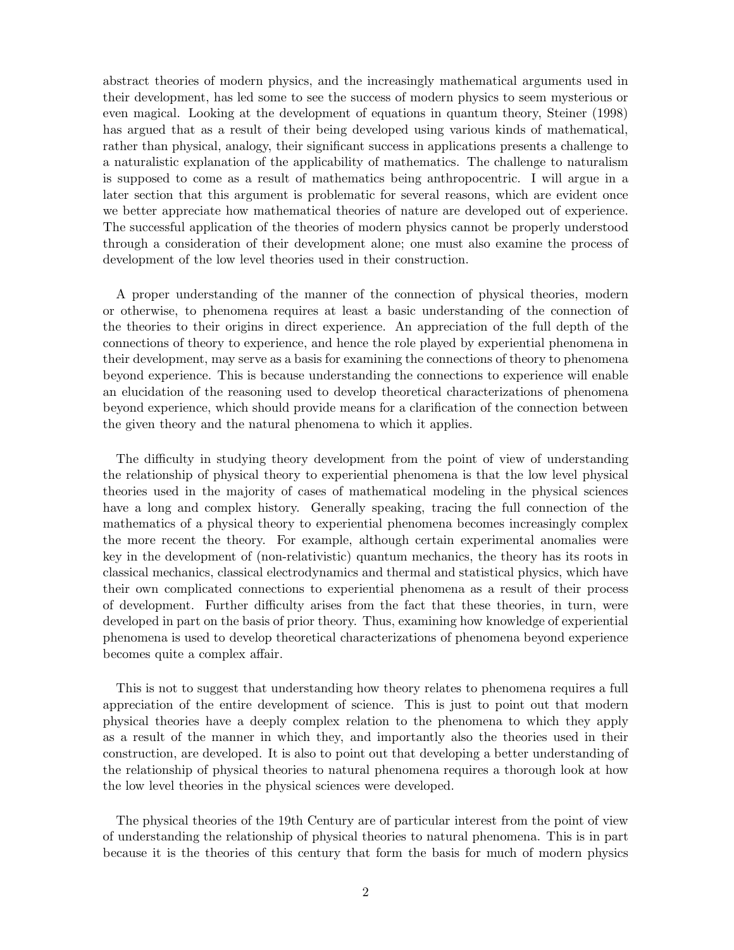abstract theories of modern physics, and the increasingly mathematical arguments used in their development, has led some to see the success of modern physics to seem mysterious or even magical. Looking at the development of equations in quantum theory, Steiner (1998) has argued that as a result of their being developed using various kinds of mathematical, rather than physical, analogy, their significant success in applications presents a challenge to a naturalistic explanation of the applicability of mathematics. The challenge to naturalism is supposed to come as a result of mathematics being anthropocentric. I will argue in a later section that this argument is problematic for several reasons, which are evident once we better appreciate how mathematical theories of nature are developed out of experience. The successful application of the theories of modern physics cannot be properly understood through a consideration of their development alone; one must also examine the process of development of the low level theories used in their construction.

A proper understanding of the manner of the connection of physical theories, modern or otherwise, to phenomena requires at least a basic understanding of the connection of the theories to their origins in direct experience. An appreciation of the full depth of the connections of theory to experience, and hence the role played by experiential phenomena in their development, may serve as a basis for examining the connections of theory to phenomena beyond experience. This is because understanding the connections to experience will enable an elucidation of the reasoning used to develop theoretical characterizations of phenomena beyond experience, which should provide means for a clarification of the connection between the given theory and the natural phenomena to which it applies.

The difficulty in studying theory development from the point of view of understanding the relationship of physical theory to experiential phenomena is that the low level physical theories used in the majority of cases of mathematical modeling in the physical sciences have a long and complex history. Generally speaking, tracing the full connection of the mathematics of a physical theory to experiential phenomena becomes increasingly complex the more recent the theory. For example, although certain experimental anomalies were key in the development of (non-relativistic) quantum mechanics, the theory has its roots in classical mechanics, classical electrodynamics and thermal and statistical physics, which have their own complicated connections to experiential phenomena as a result of their process of development. Further difficulty arises from the fact that these theories, in turn, were developed in part on the basis of prior theory. Thus, examining how knowledge of experiential phenomena is used to develop theoretical characterizations of phenomena beyond experience becomes quite a complex affair.

This is not to suggest that understanding how theory relates to phenomena requires a full appreciation of the entire development of science. This is just to point out that modern physical theories have a deeply complex relation to the phenomena to which they apply as a result of the manner in which they, and importantly also the theories used in their construction, are developed. It is also to point out that developing a better understanding of the relationship of physical theories to natural phenomena requires a thorough look at how the low level theories in the physical sciences were developed.

The physical theories of the 19th Century are of particular interest from the point of view of understanding the relationship of physical theories to natural phenomena. This is in part because it is the theories of this century that form the basis for much of modern physics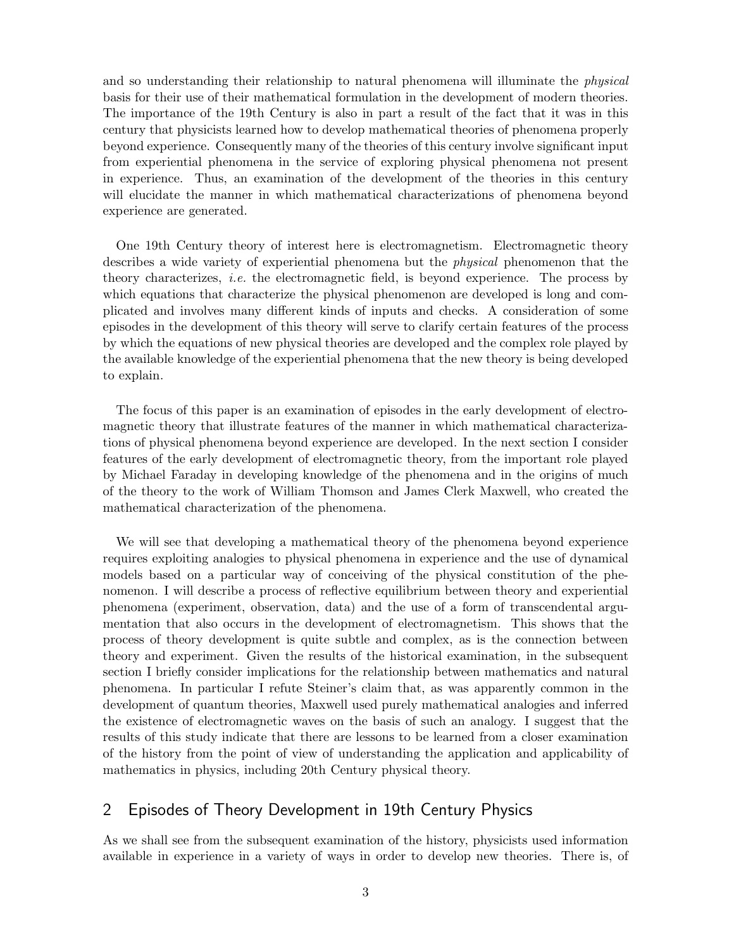and so understanding their relationship to natural phenomena will illuminate the physical basis for their use of their mathematical formulation in the development of modern theories. The importance of the 19th Century is also in part a result of the fact that it was in this century that physicists learned how to develop mathematical theories of phenomena properly beyond experience. Consequently many of the theories of this century involve significant input from experiential phenomena in the service of exploring physical phenomena not present in experience. Thus, an examination of the development of the theories in this century will elucidate the manner in which mathematical characterizations of phenomena beyond experience are generated.

One 19th Century theory of interest here is electromagnetism. Electromagnetic theory describes a wide variety of experiential phenomena but the physical phenomenon that the theory characterizes, i.e. the electromagnetic field, is beyond experience. The process by which equations that characterize the physical phenomenon are developed is long and complicated and involves many different kinds of inputs and checks. A consideration of some episodes in the development of this theory will serve to clarify certain features of the process by which the equations of new physical theories are developed and the complex role played by the available knowledge of the experiential phenomena that the new theory is being developed to explain.

The focus of this paper is an examination of episodes in the early development of electromagnetic theory that illustrate features of the manner in which mathematical characterizations of physical phenomena beyond experience are developed. In the next section I consider features of the early development of electromagnetic theory, from the important role played by Michael Faraday in developing knowledge of the phenomena and in the origins of much of the theory to the work of William Thomson and James Clerk Maxwell, who created the mathematical characterization of the phenomena.

We will see that developing a mathematical theory of the phenomena beyond experience requires exploiting analogies to physical phenomena in experience and the use of dynamical models based on a particular way of conceiving of the physical constitution of the phenomenon. I will describe a process of reflective equilibrium between theory and experiential phenomena (experiment, observation, data) and the use of a form of transcendental argumentation that also occurs in the development of electromagnetism. This shows that the process of theory development is quite subtle and complex, as is the connection between theory and experiment. Given the results of the historical examination, in the subsequent section I briefly consider implications for the relationship between mathematics and natural phenomena. In particular I refute Steiner's claim that, as was apparently common in the development of quantum theories, Maxwell used purely mathematical analogies and inferred the existence of electromagnetic waves on the basis of such an analogy. I suggest that the results of this study indicate that there are lessons to be learned from a closer examination of the history from the point of view of understanding the application and applicability of mathematics in physics, including 20th Century physical theory.

# 2 Episodes of Theory Development in 19th Century Physics

As we shall see from the subsequent examination of the history, physicists used information available in experience in a variety of ways in order to develop new theories. There is, of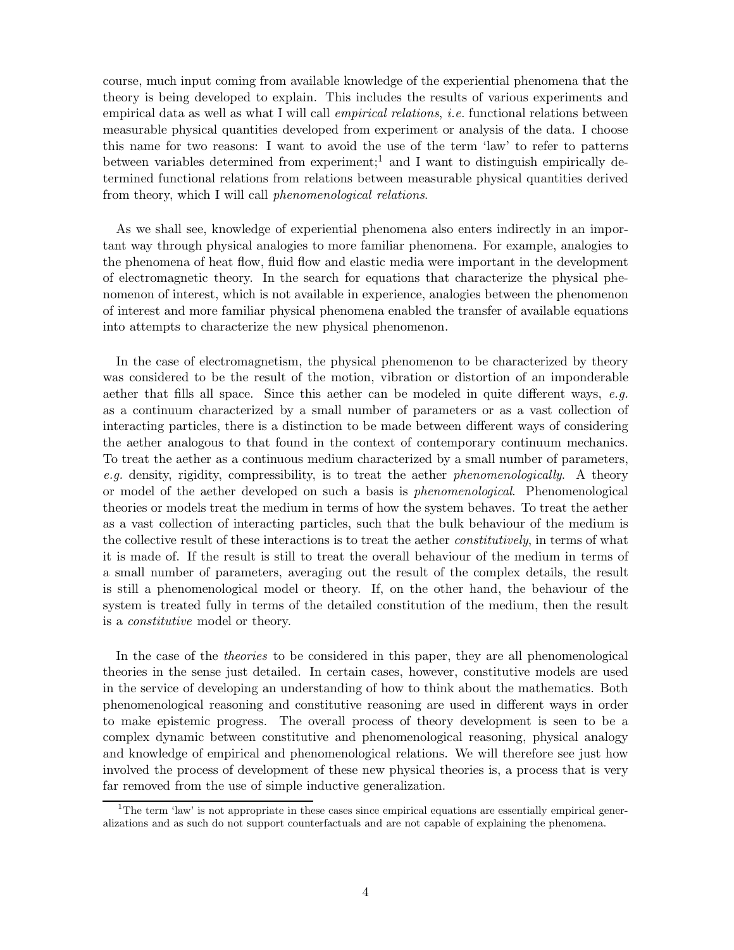course, much input coming from available knowledge of the experiential phenomena that the theory is being developed to explain. This includes the results of various experiments and empirical data as well as what I will call *empirical relations*, *i.e.* functional relations between measurable physical quantities developed from experiment or analysis of the data. I choose this name for two reasons: I want to avoid the use of the term 'law' to refer to patterns between variables determined from experiment;<sup>1</sup> and I want to distinguish empirically determined functional relations from relations between measurable physical quantities derived from theory, which I will call phenomenological relations.

As we shall see, knowledge of experiential phenomena also enters indirectly in an important way through physical analogies to more familiar phenomena. For example, analogies to the phenomena of heat flow, fluid flow and elastic media were important in the development of electromagnetic theory. In the search for equations that characterize the physical phenomenon of interest, which is not available in experience, analogies between the phenomenon of interest and more familiar physical phenomena enabled the transfer of available equations into attempts to characterize the new physical phenomenon.

In the case of electromagnetism, the physical phenomenon to be characterized by theory was considered to be the result of the motion, vibration or distortion of an imponderable aether that fills all space. Since this aether can be modeled in quite different ways, e.g. as a continuum characterized by a small number of parameters or as a vast collection of interacting particles, there is a distinction to be made between different ways of considering the aether analogous to that found in the context of contemporary continuum mechanics. To treat the aether as a continuous medium characterized by a small number of parameters, e.g. density, rigidity, compressibility, is to treat the aether *phenomenologically*. A theory or model of the aether developed on such a basis is phenomenological. Phenomenological theories or models treat the medium in terms of how the system behaves. To treat the aether as a vast collection of interacting particles, such that the bulk behaviour of the medium is the collective result of these interactions is to treat the aether *constitutively*, in terms of what it is made of. If the result is still to treat the overall behaviour of the medium in terms of a small number of parameters, averaging out the result of the complex details, the result is still a phenomenological model or theory. If, on the other hand, the behaviour of the system is treated fully in terms of the detailed constitution of the medium, then the result is a constitutive model or theory.

In the case of the theories to be considered in this paper, they are all phenomenological theories in the sense just detailed. In certain cases, however, constitutive models are used in the service of developing an understanding of how to think about the mathematics. Both phenomenological reasoning and constitutive reasoning are used in different ways in order to make epistemic progress. The overall process of theory development is seen to be a complex dynamic between constitutive and phenomenological reasoning, physical analogy and knowledge of empirical and phenomenological relations. We will therefore see just how involved the process of development of these new physical theories is, a process that is very far removed from the use of simple inductive generalization.

<sup>&</sup>lt;sup>1</sup>The term 'law' is not appropriate in these cases since empirical equations are essentially empirical generalizations and as such do not support counterfactuals and are not capable of explaining the phenomena.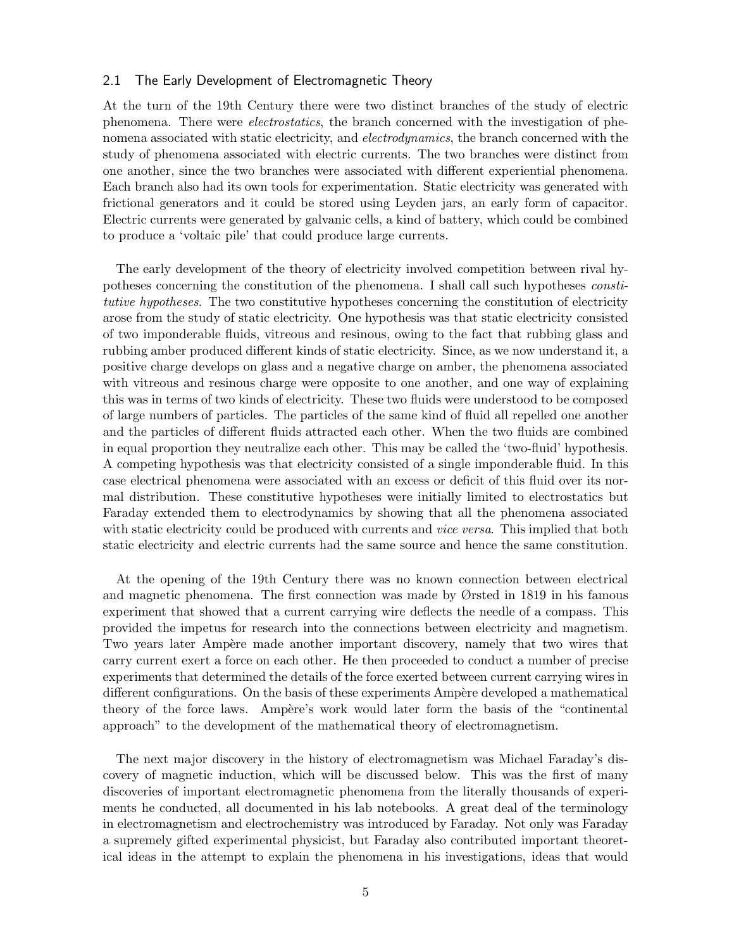#### 2.1 The Early Development of Electromagnetic Theory

At the turn of the 19th Century there were two distinct branches of the study of electric phenomena. There were electrostatics, the branch concerned with the investigation of phenomena associated with static electricity, and *electrodynamics*, the branch concerned with the study of phenomena associated with electric currents. The two branches were distinct from one another, since the two branches were associated with different experiential phenomena. Each branch also had its own tools for experimentation. Static electricity was generated with frictional generators and it could be stored using Leyden jars, an early form of capacitor. Electric currents were generated by galvanic cells, a kind of battery, which could be combined to produce a 'voltaic pile' that could produce large currents.

The early development of the theory of electricity involved competition between rival hypotheses concerning the constitution of the phenomena. I shall call such hypotheses constitutive hypotheses. The two constitutive hypotheses concerning the constitution of electricity arose from the study of static electricity. One hypothesis was that static electricity consisted of two imponderable fluids, vitreous and resinous, owing to the fact that rubbing glass and rubbing amber produced different kinds of static electricity. Since, as we now understand it, a positive charge develops on glass and a negative charge on amber, the phenomena associated with vitreous and resinous charge were opposite to one another, and one way of explaining this was in terms of two kinds of electricity. These two fluids were understood to be composed of large numbers of particles. The particles of the same kind of fluid all repelled one another and the particles of different fluids attracted each other. When the two fluids are combined in equal proportion they neutralize each other. This may be called the 'two-fluid' hypothesis. A competing hypothesis was that electricity consisted of a single imponderable fluid. In this case electrical phenomena were associated with an excess or deficit of this fluid over its normal distribution. These constitutive hypotheses were initially limited to electrostatics but Faraday extended them to electrodynamics by showing that all the phenomena associated with static electricity could be produced with currents and *vice versa*. This implied that both static electricity and electric currents had the same source and hence the same constitution.

At the opening of the 19th Century there was no known connection between electrical and magnetic phenomena. The first connection was made by Ørsted in 1819 in his famous experiment that showed that a current carrying wire deflects the needle of a compass. This provided the impetus for research into the connections between electricity and magnetism. Two years later Ampère made another important discovery, namely that two wires that carry current exert a force on each other. He then proceeded to conduct a number of precise experiments that determined the details of the force exerted between current carrying wires in different configurations. On the basis of these experiments Ampère developed a mathematical theory of the force laws. Ampère's work would later form the basis of the "continental" approach" to the development of the mathematical theory of electromagnetism.

The next major discovery in the history of electromagnetism was Michael Faraday's discovery of magnetic induction, which will be discussed below. This was the first of many discoveries of important electromagnetic phenomena from the literally thousands of experiments he conducted, all documented in his lab notebooks. A great deal of the terminology in electromagnetism and electrochemistry was introduced by Faraday. Not only was Faraday a supremely gifted experimental physicist, but Faraday also contributed important theoretical ideas in the attempt to explain the phenomena in his investigations, ideas that would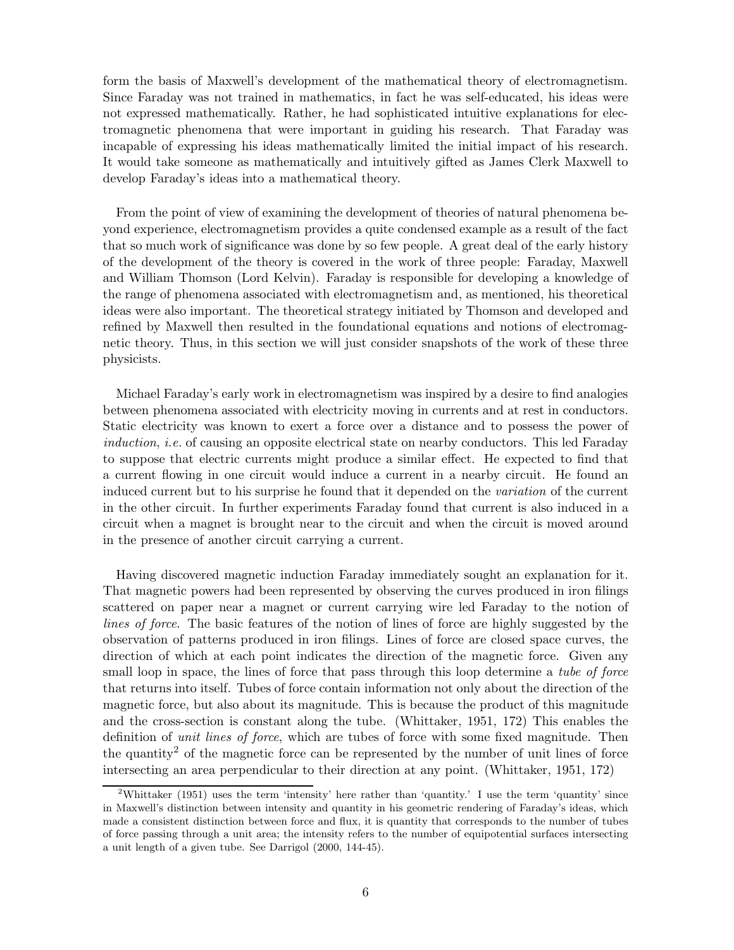form the basis of Maxwell's development of the mathematical theory of electromagnetism. Since Faraday was not trained in mathematics, in fact he was self-educated, his ideas were not expressed mathematically. Rather, he had sophisticated intuitive explanations for electromagnetic phenomena that were important in guiding his research. That Faraday was incapable of expressing his ideas mathematically limited the initial impact of his research. It would take someone as mathematically and intuitively gifted as James Clerk Maxwell to develop Faraday's ideas into a mathematical theory.

From the point of view of examining the development of theories of natural phenomena beyond experience, electromagnetism provides a quite condensed example as a result of the fact that so much work of significance was done by so few people. A great deal of the early history of the development of the theory is covered in the work of three people: Faraday, Maxwell and William Thomson (Lord Kelvin). Faraday is responsible for developing a knowledge of the range of phenomena associated with electromagnetism and, as mentioned, his theoretical ideas were also important. The theoretical strategy initiated by Thomson and developed and refined by Maxwell then resulted in the foundational equations and notions of electromagnetic theory. Thus, in this section we will just consider snapshots of the work of these three physicists.

Michael Faraday's early work in electromagnetism was inspired by a desire to find analogies between phenomena associated with electricity moving in currents and at rest in conductors. Static electricity was known to exert a force over a distance and to possess the power of *induction, i.e.* of causing an opposite electrical state on nearby conductors. This led Faraday to suppose that electric currents might produce a similar effect. He expected to find that a current flowing in one circuit would induce a current in a nearby circuit. He found an induced current but to his surprise he found that it depended on the variation of the current in the other circuit. In further experiments Faraday found that current is also induced in a circuit when a magnet is brought near to the circuit and when the circuit is moved around in the presence of another circuit carrying a current.

Having discovered magnetic induction Faraday immediately sought an explanation for it. That magnetic powers had been represented by observing the curves produced in iron filings scattered on paper near a magnet or current carrying wire led Faraday to the notion of lines of force. The basic features of the notion of lines of force are highly suggested by the observation of patterns produced in iron filings. Lines of force are closed space curves, the direction of which at each point indicates the direction of the magnetic force. Given any small loop in space, the lines of force that pass through this loop determine a tube of force that returns into itself. Tubes of force contain information not only about the direction of the magnetic force, but also about its magnitude. This is because the product of this magnitude and the cross-section is constant along the tube. (Whittaker, 1951, 172) This enables the definition of unit lines of force, which are tubes of force with some fixed magnitude. Then the quantity<sup>2</sup> of the magnetic force can be represented by the number of unit lines of force intersecting an area perpendicular to their direction at any point. (Whittaker, 1951, 172)

<sup>&</sup>lt;sup>2</sup>Whittaker (1951) uses the term 'intensity' here rather than 'quantity.' I use the term 'quantity' since in Maxwell's distinction between intensity and quantity in his geometric rendering of Faraday's ideas, which made a consistent distinction between force and flux, it is quantity that corresponds to the number of tubes of force passing through a unit area; the intensity refers to the number of equipotential surfaces intersecting a unit length of a given tube. See Darrigol (2000, 144-45).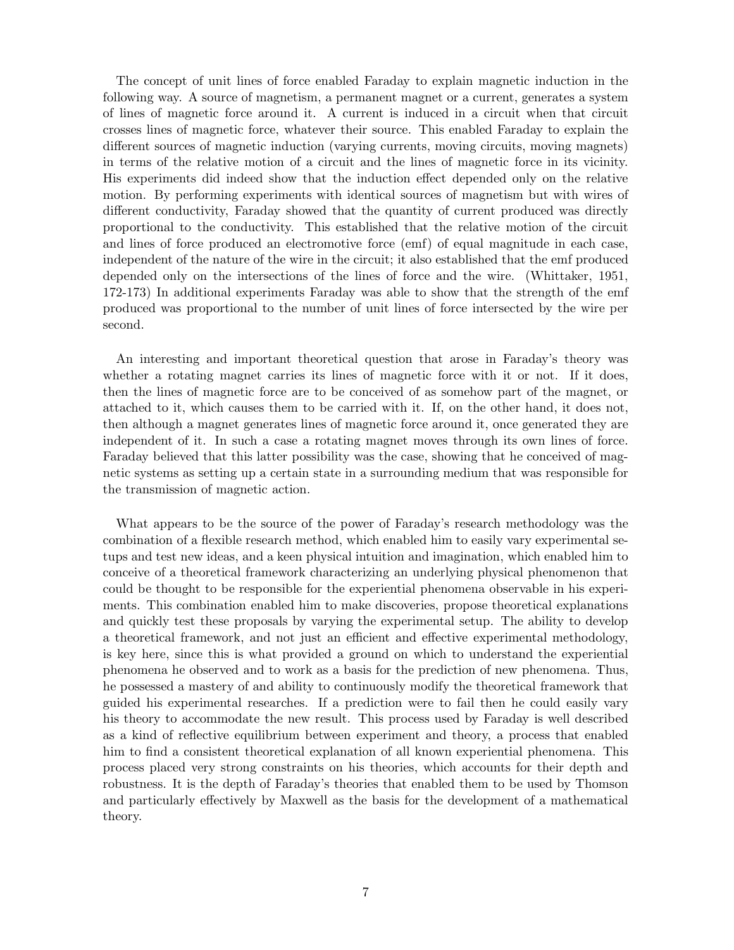The concept of unit lines of force enabled Faraday to explain magnetic induction in the following way. A source of magnetism, a permanent magnet or a current, generates a system of lines of magnetic force around it. A current is induced in a circuit when that circuit crosses lines of magnetic force, whatever their source. This enabled Faraday to explain the different sources of magnetic induction (varying currents, moving circuits, moving magnets) in terms of the relative motion of a circuit and the lines of magnetic force in its vicinity. His experiments did indeed show that the induction effect depended only on the relative motion. By performing experiments with identical sources of magnetism but with wires of different conductivity, Faraday showed that the quantity of current produced was directly proportional to the conductivity. This established that the relative motion of the circuit and lines of force produced an electromotive force (emf) of equal magnitude in each case, independent of the nature of the wire in the circuit; it also established that the emf produced depended only on the intersections of the lines of force and the wire. (Whittaker, 1951, 172-173) In additional experiments Faraday was able to show that the strength of the emf produced was proportional to the number of unit lines of force intersected by the wire per second.

An interesting and important theoretical question that arose in Faraday's theory was whether a rotating magnet carries its lines of magnetic force with it or not. If it does, then the lines of magnetic force are to be conceived of as somehow part of the magnet, or attached to it, which causes them to be carried with it. If, on the other hand, it does not, then although a magnet generates lines of magnetic force around it, once generated they are independent of it. In such a case a rotating magnet moves through its own lines of force. Faraday believed that this latter possibility was the case, showing that he conceived of magnetic systems as setting up a certain state in a surrounding medium that was responsible for the transmission of magnetic action.

What appears to be the source of the power of Faraday's research methodology was the combination of a flexible research method, which enabled him to easily vary experimental setups and test new ideas, and a keen physical intuition and imagination, which enabled him to conceive of a theoretical framework characterizing an underlying physical phenomenon that could be thought to be responsible for the experiential phenomena observable in his experiments. This combination enabled him to make discoveries, propose theoretical explanations and quickly test these proposals by varying the experimental setup. The ability to develop a theoretical framework, and not just an efficient and effective experimental methodology, is key here, since this is what provided a ground on which to understand the experiential phenomena he observed and to work as a basis for the prediction of new phenomena. Thus, he possessed a mastery of and ability to continuously modify the theoretical framework that guided his experimental researches. If a prediction were to fail then he could easily vary his theory to accommodate the new result. This process used by Faraday is well described as a kind of reflective equilibrium between experiment and theory, a process that enabled him to find a consistent theoretical explanation of all known experiential phenomena. This process placed very strong constraints on his theories, which accounts for their depth and robustness. It is the depth of Faraday's theories that enabled them to be used by Thomson and particularly effectively by Maxwell as the basis for the development of a mathematical theory.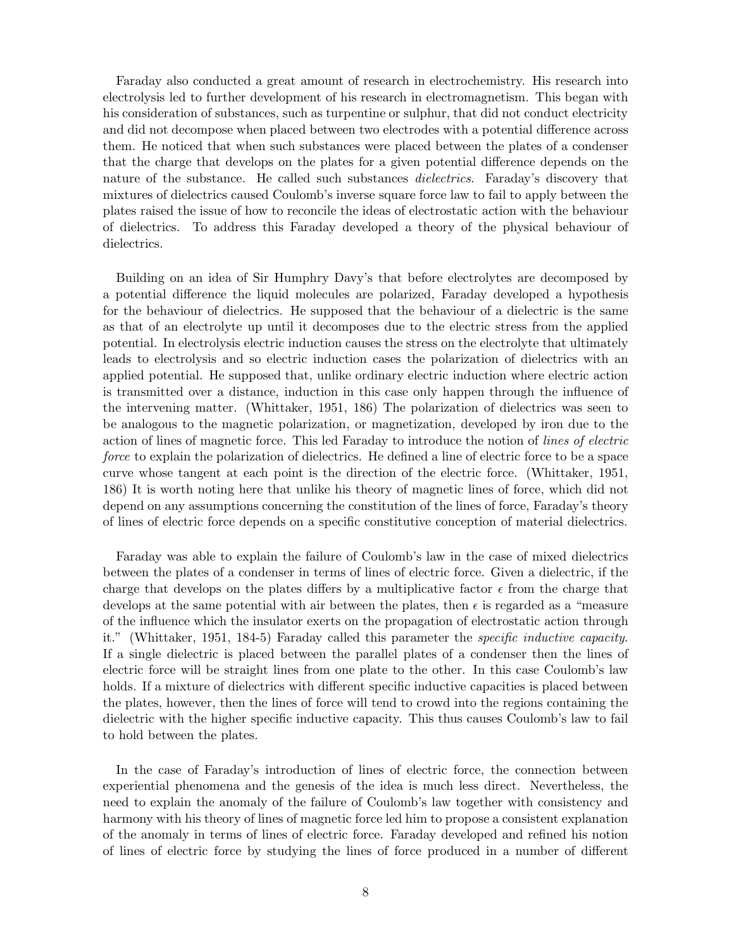Faraday also conducted a great amount of research in electrochemistry. His research into electrolysis led to further development of his research in electromagnetism. This began with his consideration of substances, such as turpentine or sulphur, that did not conduct electricity and did not decompose when placed between two electrodes with a potential difference across them. He noticed that when such substances were placed between the plates of a condenser that the charge that develops on the plates for a given potential difference depends on the nature of the substance. He called such substances *dielectrics*. Faraday's discovery that mixtures of dielectrics caused Coulomb's inverse square force law to fail to apply between the plates raised the issue of how to reconcile the ideas of electrostatic action with the behaviour of dielectrics. To address this Faraday developed a theory of the physical behaviour of dielectrics.

Building on an idea of Sir Humphry Davy's that before electrolytes are decomposed by a potential difference the liquid molecules are polarized, Faraday developed a hypothesis for the behaviour of dielectrics. He supposed that the behaviour of a dielectric is the same as that of an electrolyte up until it decomposes due to the electric stress from the applied potential. In electrolysis electric induction causes the stress on the electrolyte that ultimately leads to electrolysis and so electric induction cases the polarization of dielectrics with an applied potential. He supposed that, unlike ordinary electric induction where electric action is transmitted over a distance, induction in this case only happen through the influence of the intervening matter. (Whittaker, 1951, 186) The polarization of dielectrics was seen to be analogous to the magnetic polarization, or magnetization, developed by iron due to the action of lines of magnetic force. This led Faraday to introduce the notion of lines of electric force to explain the polarization of dielectrics. He defined a line of electric force to be a space curve whose tangent at each point is the direction of the electric force. (Whittaker, 1951, 186) It is worth noting here that unlike his theory of magnetic lines of force, which did not depend on any assumptions concerning the constitution of the lines of force, Faraday's theory of lines of electric force depends on a specific constitutive conception of material dielectrics.

Faraday was able to explain the failure of Coulomb's law in the case of mixed dielectrics between the plates of a condenser in terms of lines of electric force. Given a dielectric, if the charge that develops on the plates differs by a multiplicative factor  $\epsilon$  from the charge that develops at the same potential with air between the plates, then  $\epsilon$  is regarded as a "measure of the influence which the insulator exerts on the propagation of electrostatic action through it." (Whittaker, 1951, 184-5) Faraday called this parameter the specific inductive capacity. If a single dielectric is placed between the parallel plates of a condenser then the lines of electric force will be straight lines from one plate to the other. In this case Coulomb's law holds. If a mixture of dielectrics with different specific inductive capacities is placed between the plates, however, then the lines of force will tend to crowd into the regions containing the dielectric with the higher specific inductive capacity. This thus causes Coulomb's law to fail to hold between the plates.

In the case of Faraday's introduction of lines of electric force, the connection between experiential phenomena and the genesis of the idea is much less direct. Nevertheless, the need to explain the anomaly of the failure of Coulomb's law together with consistency and harmony with his theory of lines of magnetic force led him to propose a consistent explanation of the anomaly in terms of lines of electric force. Faraday developed and refined his notion of lines of electric force by studying the lines of force produced in a number of different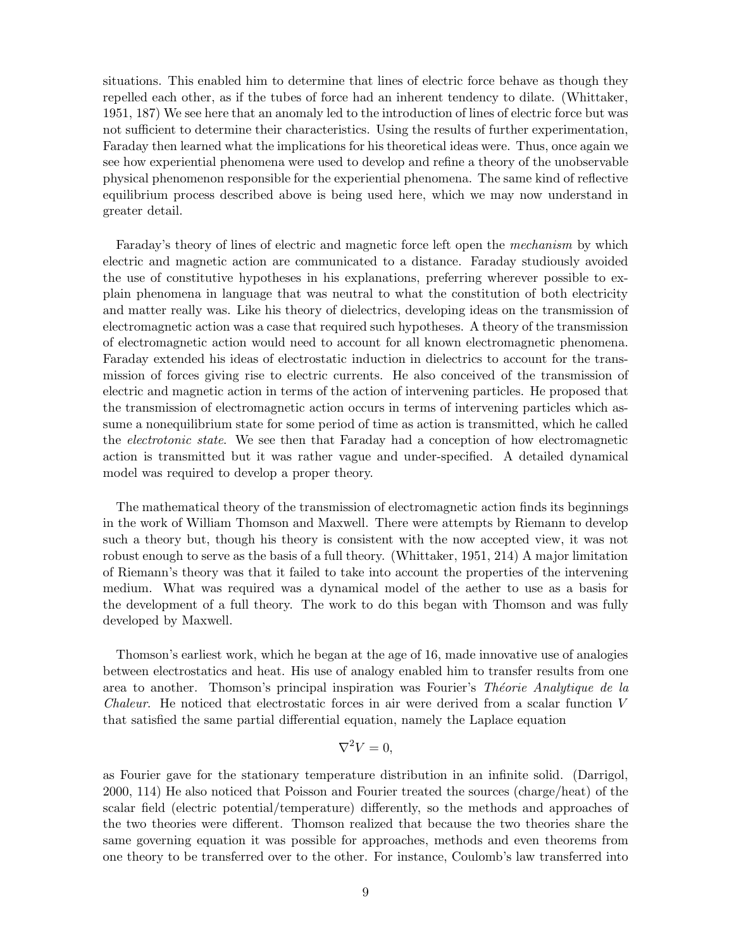situations. This enabled him to determine that lines of electric force behave as though they repelled each other, as if the tubes of force had an inherent tendency to dilate. (Whittaker, 1951, 187) We see here that an anomaly led to the introduction of lines of electric force but was not sufficient to determine their characteristics. Using the results of further experimentation, Faraday then learned what the implications for his theoretical ideas were. Thus, once again we see how experiential phenomena were used to develop and refine a theory of the unobservable physical phenomenon responsible for the experiential phenomena. The same kind of reflective equilibrium process described above is being used here, which we may now understand in greater detail.

Faraday's theory of lines of electric and magnetic force left open the mechanism by which electric and magnetic action are communicated to a distance. Faraday studiously avoided the use of constitutive hypotheses in his explanations, preferring wherever possible to explain phenomena in language that was neutral to what the constitution of both electricity and matter really was. Like his theory of dielectrics, developing ideas on the transmission of electromagnetic action was a case that required such hypotheses. A theory of the transmission of electromagnetic action would need to account for all known electromagnetic phenomena. Faraday extended his ideas of electrostatic induction in dielectrics to account for the transmission of forces giving rise to electric currents. He also conceived of the transmission of electric and magnetic action in terms of the action of intervening particles. He proposed that the transmission of electromagnetic action occurs in terms of intervening particles which assume a nonequilibrium state for some period of time as action is transmitted, which he called the electrotonic state. We see then that Faraday had a conception of how electromagnetic action is transmitted but it was rather vague and under-specified. A detailed dynamical model was required to develop a proper theory.

The mathematical theory of the transmission of electromagnetic action finds its beginnings in the work of William Thomson and Maxwell. There were attempts by Riemann to develop such a theory but, though his theory is consistent with the now accepted view, it was not robust enough to serve as the basis of a full theory. (Whittaker, 1951, 214) A major limitation of Riemann's theory was that it failed to take into account the properties of the intervening medium. What was required was a dynamical model of the aether to use as a basis for the development of a full theory. The work to do this began with Thomson and was fully developed by Maxwell.

Thomson's earliest work, which he began at the age of 16, made innovative use of analogies between electrostatics and heat. His use of analogy enabled him to transfer results from one area to another. Thomson's principal inspiration was Fourier's Théorie Analytique de la Chaleur. He noticed that electrostatic forces in air were derived from a scalar function V that satisfied the same partial differential equation, namely the Laplace equation

# $\nabla^2 V = 0,$

as Fourier gave for the stationary temperature distribution in an infinite solid. (Darrigol, 2000, 114) He also noticed that Poisson and Fourier treated the sources (charge/heat) of the scalar field (electric potential/temperature) differently, so the methods and approaches of the two theories were different. Thomson realized that because the two theories share the same governing equation it was possible for approaches, methods and even theorems from one theory to be transferred over to the other. For instance, Coulomb's law transferred into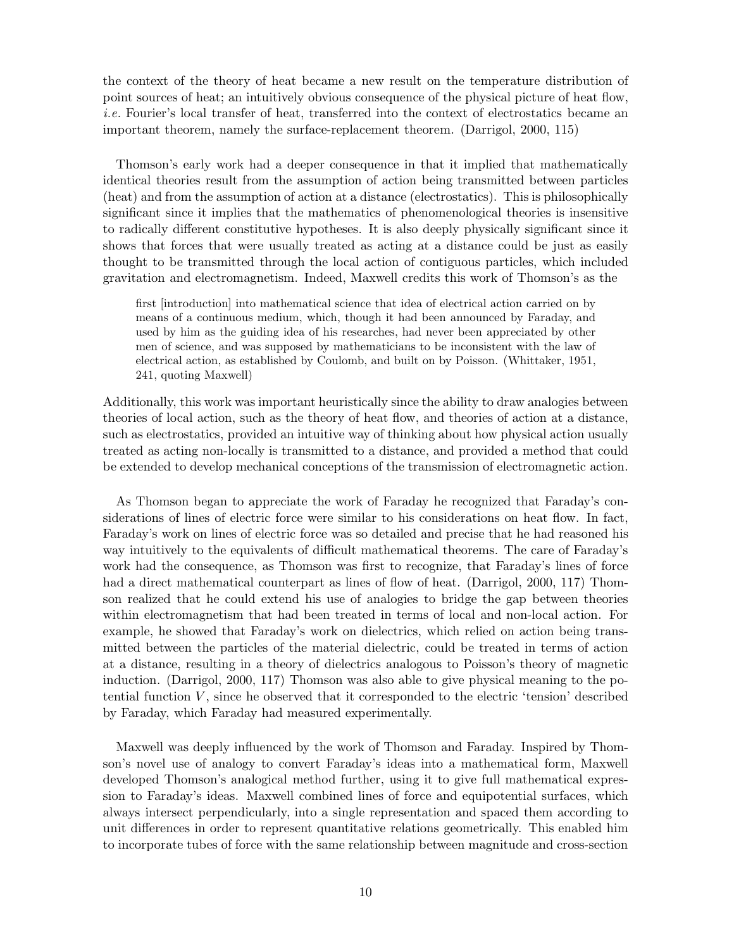the context of the theory of heat became a new result on the temperature distribution of point sources of heat; an intuitively obvious consequence of the physical picture of heat flow, i.e. Fourier's local transfer of heat, transferred into the context of electrostatics became an important theorem, namely the surface-replacement theorem. (Darrigol, 2000, 115)

Thomson's early work had a deeper consequence in that it implied that mathematically identical theories result from the assumption of action being transmitted between particles (heat) and from the assumption of action at a distance (electrostatics). This is philosophically significant since it implies that the mathematics of phenomenological theories is insensitive to radically different constitutive hypotheses. It is also deeply physically significant since it shows that forces that were usually treated as acting at a distance could be just as easily thought to be transmitted through the local action of contiguous particles, which included gravitation and electromagnetism. Indeed, Maxwell credits this work of Thomson's as the

first [introduction] into mathematical science that idea of electrical action carried on by means of a continuous medium, which, though it had been announced by Faraday, and used by him as the guiding idea of his researches, had never been appreciated by other men of science, and was supposed by mathematicians to be inconsistent with the law of electrical action, as established by Coulomb, and built on by Poisson. (Whittaker, 1951, 241, quoting Maxwell)

Additionally, this work was important heuristically since the ability to draw analogies between theories of local action, such as the theory of heat flow, and theories of action at a distance, such as electrostatics, provided an intuitive way of thinking about how physical action usually treated as acting non-locally is transmitted to a distance, and provided a method that could be extended to develop mechanical conceptions of the transmission of electromagnetic action.

As Thomson began to appreciate the work of Faraday he recognized that Faraday's considerations of lines of electric force were similar to his considerations on heat flow. In fact, Faraday's work on lines of electric force was so detailed and precise that he had reasoned his way intuitively to the equivalents of difficult mathematical theorems. The care of Faraday's work had the consequence, as Thomson was first to recognize, that Faraday's lines of force had a direct mathematical counterpart as lines of flow of heat. (Darrigol, 2000, 117) Thomson realized that he could extend his use of analogies to bridge the gap between theories within electromagnetism that had been treated in terms of local and non-local action. For example, he showed that Faraday's work on dielectrics, which relied on action being transmitted between the particles of the material dielectric, could be treated in terms of action at a distance, resulting in a theory of dielectrics analogous to Poisson's theory of magnetic induction. (Darrigol, 2000, 117) Thomson was also able to give physical meaning to the potential function  $V$ , since he observed that it corresponded to the electric 'tension' described by Faraday, which Faraday had measured experimentally.

Maxwell was deeply influenced by the work of Thomson and Faraday. Inspired by Thomson's novel use of analogy to convert Faraday's ideas into a mathematical form, Maxwell developed Thomson's analogical method further, using it to give full mathematical expression to Faraday's ideas. Maxwell combined lines of force and equipotential surfaces, which always intersect perpendicularly, into a single representation and spaced them according to unit differences in order to represent quantitative relations geometrically. This enabled him to incorporate tubes of force with the same relationship between magnitude and cross-section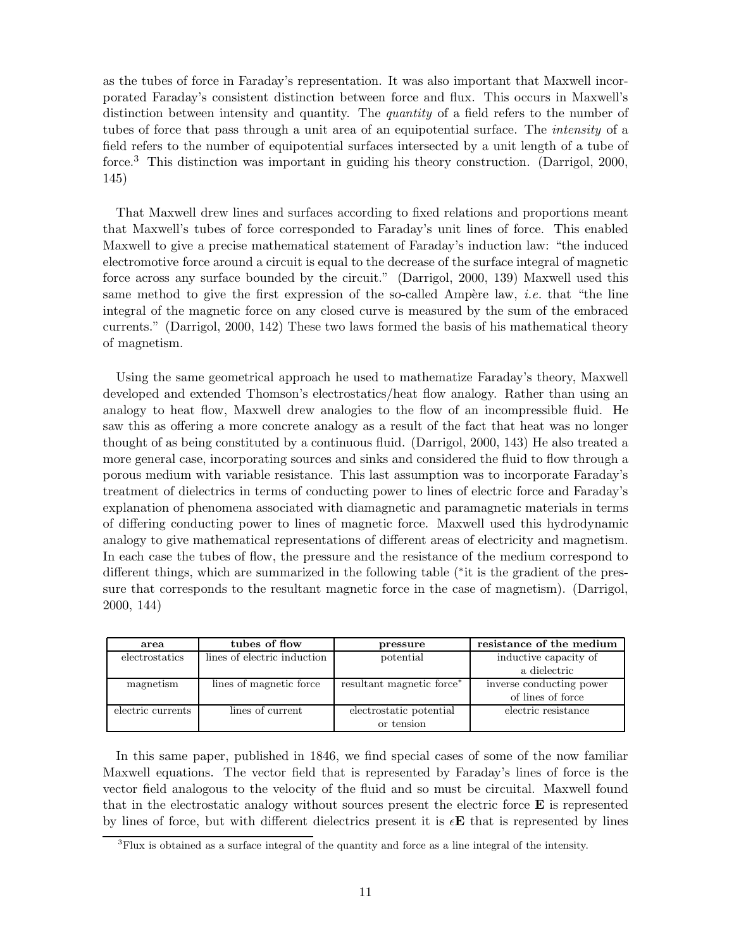as the tubes of force in Faraday's representation. It was also important that Maxwell incorporated Faraday's consistent distinction between force and flux. This occurs in Maxwell's distinction between intensity and quantity. The quantity of a field refers to the number of tubes of force that pass through a unit area of an equipotential surface. The intensity of a field refers to the number of equipotential surfaces intersected by a unit length of a tube of force.<sup>3</sup> This distinction was important in guiding his theory construction. (Darrigol, 2000, 145)

That Maxwell drew lines and surfaces according to fixed relations and proportions meant that Maxwell's tubes of force corresponded to Faraday's unit lines of force. This enabled Maxwell to give a precise mathematical statement of Faraday's induction law: "the induced electromotive force around a circuit is equal to the decrease of the surface integral of magnetic force across any surface bounded by the circuit." (Darrigol, 2000, 139) Maxwell used this same method to give the first expression of the so-called Ampère law, *i.e.* that "the line integral of the magnetic force on any closed curve is measured by the sum of the embraced currents." (Darrigol, 2000, 142) These two laws formed the basis of his mathematical theory of magnetism.

Using the same geometrical approach he used to mathematize Faraday's theory, Maxwell developed and extended Thomson's electrostatics/heat flow analogy. Rather than using an analogy to heat flow, Maxwell drew analogies to the flow of an incompressible fluid. He saw this as offering a more concrete analogy as a result of the fact that heat was no longer thought of as being constituted by a continuous fluid. (Darrigol, 2000, 143) He also treated a more general case, incorporating sources and sinks and considered the fluid to flow through a porous medium with variable resistance. This last assumption was to incorporate Faraday's treatment of dielectrics in terms of conducting power to lines of electric force and Faraday's explanation of phenomena associated with diamagnetic and paramagnetic materials in terms of differing conducting power to lines of magnetic force. Maxwell used this hydrodynamic analogy to give mathematical representations of different areas of electricity and magnetism. In each case the tubes of flow, the pressure and the resistance of the medium correspond to different things, which are summarized in the following table (\*it is the gradient of the pressure that corresponds to the resultant magnetic force in the case of magnetism). (Darrigol, 2000, 144)

| area              | tubes of flow               | pressure                              | resistance of the medium |
|-------------------|-----------------------------|---------------------------------------|--------------------------|
| electrostatics    | lines of electric induction | potential                             | inductive capacity of    |
|                   |                             |                                       | a dielectric             |
| magnetism         | lines of magnetic force     | resultant magnetic force <sup>*</sup> | inverse conducting power |
|                   |                             |                                       | of lines of force        |
| electric currents | lines of current            | electrostatic potential               | electric resistance      |
|                   |                             | or tension                            |                          |

In this same paper, published in 1846, we find special cases of some of the now familiar Maxwell equations. The vector field that is represented by Faraday's lines of force is the vector field analogous to the velocity of the fluid and so must be circuital. Maxwell found that in the electrostatic analogy without sources present the electric force  $\bf{E}$  is represented by lines of force, but with different dielectrics present it is  $\epsilon \mathbf{E}$  that is represented by lines

<sup>3</sup>Flux is obtained as a surface integral of the quantity and force as a line integral of the intensity.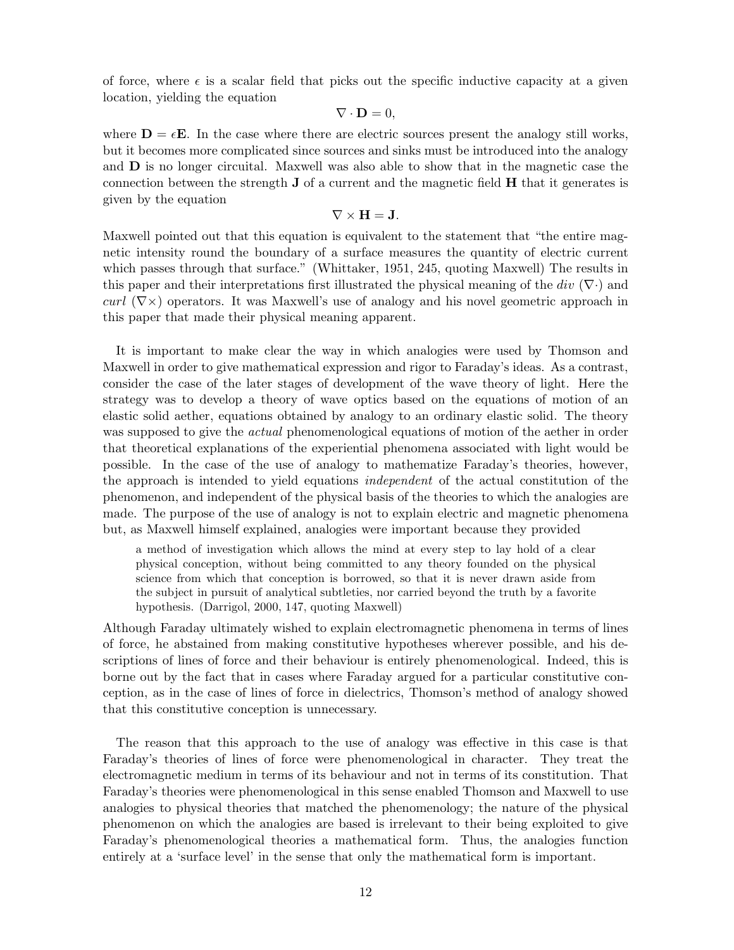of force, where  $\epsilon$  is a scalar field that picks out the specific inductive capacity at a given location, yielding the equation

$$
\nabla \cdot \mathbf{D} = 0,
$$

where  $\mathbf{D} = \epsilon \mathbf{E}$ . In the case where there are electric sources present the analogy still works, but it becomes more complicated since sources and sinks must be introduced into the analogy and D is no longer circuital. Maxwell was also able to show that in the magnetic case the connection between the strength  $J$  of a current and the magnetic field  $H$  that it generates is given by the equation

$$
\nabla \times \mathbf{H} = \mathbf{J}.
$$

Maxwell pointed out that this equation is equivalent to the statement that "the entire magnetic intensity round the boundary of a surface measures the quantity of electric current which passes through that surface." (Whittaker, 1951, 245, quoting Maxwell) The results in this paper and their interpretations first illustrated the physical meaning of the div  $(\nabla \cdot)$  and curl  $(\nabla \times)$  operators. It was Maxwell's use of analogy and his novel geometric approach in this paper that made their physical meaning apparent.

It is important to make clear the way in which analogies were used by Thomson and Maxwell in order to give mathematical expression and rigor to Faraday's ideas. As a contrast, consider the case of the later stages of development of the wave theory of light. Here the strategy was to develop a theory of wave optics based on the equations of motion of an elastic solid aether, equations obtained by analogy to an ordinary elastic solid. The theory was supposed to give the *actual* phenomenological equations of motion of the aether in order that theoretical explanations of the experiential phenomena associated with light would be possible. In the case of the use of analogy to mathematize Faraday's theories, however, the approach is intended to yield equations independent of the actual constitution of the phenomenon, and independent of the physical basis of the theories to which the analogies are made. The purpose of the use of analogy is not to explain electric and magnetic phenomena but, as Maxwell himself explained, analogies were important because they provided

a method of investigation which allows the mind at every step to lay hold of a clear physical conception, without being committed to any theory founded on the physical science from which that conception is borrowed, so that it is never drawn aside from the subject in pursuit of analytical subtleties, nor carried beyond the truth by a favorite hypothesis. (Darrigol, 2000, 147, quoting Maxwell)

Although Faraday ultimately wished to explain electromagnetic phenomena in terms of lines of force, he abstained from making constitutive hypotheses wherever possible, and his descriptions of lines of force and their behaviour is entirely phenomenological. Indeed, this is borne out by the fact that in cases where Faraday argued for a particular constitutive conception, as in the case of lines of force in dielectrics, Thomson's method of analogy showed that this constitutive conception is unnecessary.

The reason that this approach to the use of analogy was effective in this case is that Faraday's theories of lines of force were phenomenological in character. They treat the electromagnetic medium in terms of its behaviour and not in terms of its constitution. That Faraday's theories were phenomenological in this sense enabled Thomson and Maxwell to use analogies to physical theories that matched the phenomenology; the nature of the physical phenomenon on which the analogies are based is irrelevant to their being exploited to give Faraday's phenomenological theories a mathematical form. Thus, the analogies function entirely at a 'surface level' in the sense that only the mathematical form is important.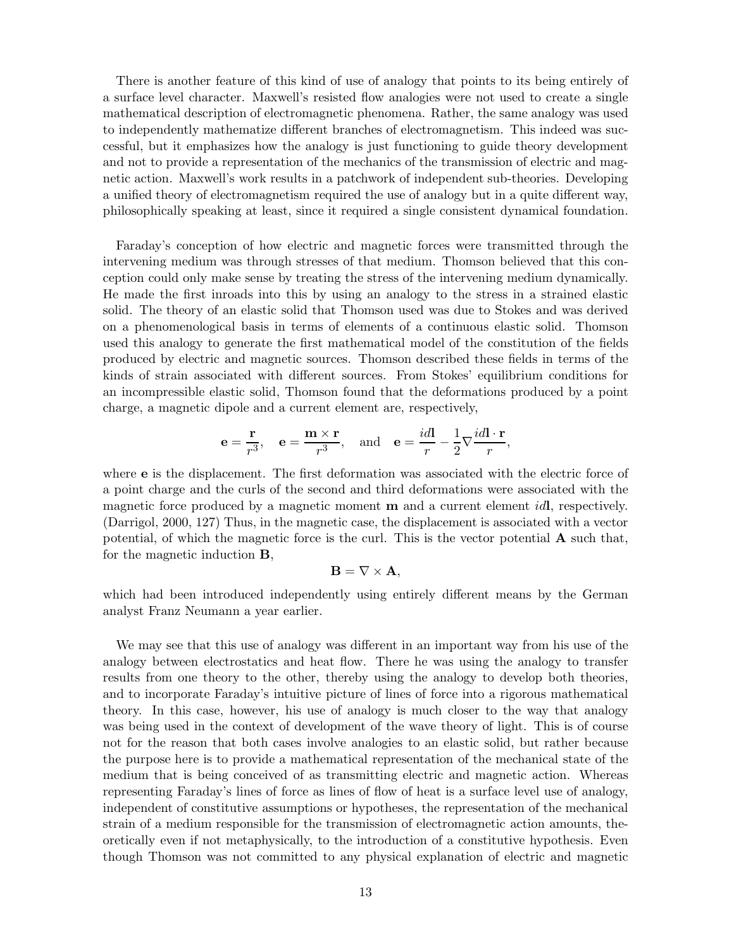There is another feature of this kind of use of analogy that points to its being entirely of a surface level character. Maxwell's resisted flow analogies were not used to create a single mathematical description of electromagnetic phenomena. Rather, the same analogy was used to independently mathematize different branches of electromagnetism. This indeed was successful, but it emphasizes how the analogy is just functioning to guide theory development and not to provide a representation of the mechanics of the transmission of electric and magnetic action. Maxwell's work results in a patchwork of independent sub-theories. Developing a unified theory of electromagnetism required the use of analogy but in a quite different way, philosophically speaking at least, since it required a single consistent dynamical foundation.

Faraday's conception of how electric and magnetic forces were transmitted through the intervening medium was through stresses of that medium. Thomson believed that this conception could only make sense by treating the stress of the intervening medium dynamically. He made the first inroads into this by using an analogy to the stress in a strained elastic solid. The theory of an elastic solid that Thomson used was due to Stokes and was derived on a phenomenological basis in terms of elements of a continuous elastic solid. Thomson used this analogy to generate the first mathematical model of the constitution of the fields produced by electric and magnetic sources. Thomson described these fields in terms of the kinds of strain associated with different sources. From Stokes' equilibrium conditions for an incompressible elastic solid, Thomson found that the deformations produced by a point charge, a magnetic dipole and a current element are, respectively,

$$
\mathbf{e} = \frac{\mathbf{r}}{r^3}, \quad \mathbf{e} = \frac{\mathbf{m} \times \mathbf{r}}{r^3}, \text{ and } \mathbf{e} = \frac{i d \mathbf{l}}{r} - \frac{1}{2} \nabla \frac{i d \mathbf{l} \cdot \mathbf{r}}{r},
$$

where e is the displacement. The first deformation was associated with the electric force of a point charge and the curls of the second and third deformations were associated with the magnetic force produced by a magnetic moment  $\bf{m}$  and a current element *id*l, respectively. (Darrigol, 2000, 127) Thus, in the magnetic case, the displacement is associated with a vector potential, of which the magnetic force is the curl. This is the vector potential  $\bf{A}$  such that, for the magnetic induction B,

$$
\mathbf{B}=\nabla\times\mathbf{A},
$$

which had been introduced independently using entirely different means by the German analyst Franz Neumann a year earlier.

We may see that this use of analogy was different in an important way from his use of the analogy between electrostatics and heat flow. There he was using the analogy to transfer results from one theory to the other, thereby using the analogy to develop both theories, and to incorporate Faraday's intuitive picture of lines of force into a rigorous mathematical theory. In this case, however, his use of analogy is much closer to the way that analogy was being used in the context of development of the wave theory of light. This is of course not for the reason that both cases involve analogies to an elastic solid, but rather because the purpose here is to provide a mathematical representation of the mechanical state of the medium that is being conceived of as transmitting electric and magnetic action. Whereas representing Faraday's lines of force as lines of flow of heat is a surface level use of analogy, independent of constitutive assumptions or hypotheses, the representation of the mechanical strain of a medium responsible for the transmission of electromagnetic action amounts, theoretically even if not metaphysically, to the introduction of a constitutive hypothesis. Even though Thomson was not committed to any physical explanation of electric and magnetic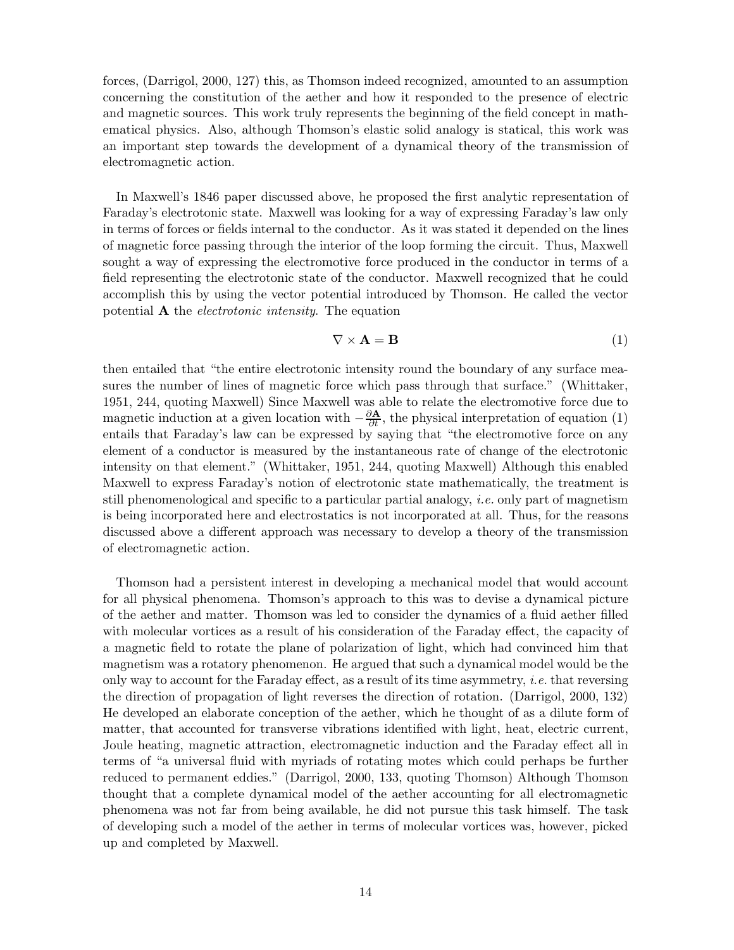forces, (Darrigol, 2000, 127) this, as Thomson indeed recognized, amounted to an assumption concerning the constitution of the aether and how it responded to the presence of electric and magnetic sources. This work truly represents the beginning of the field concept in mathematical physics. Also, although Thomson's elastic solid analogy is statical, this work was an important step towards the development of a dynamical theory of the transmission of electromagnetic action.

In Maxwell's 1846 paper discussed above, he proposed the first analytic representation of Faraday's electrotonic state. Maxwell was looking for a way of expressing Faraday's law only in terms of forces or fields internal to the conductor. As it was stated it depended on the lines of magnetic force passing through the interior of the loop forming the circuit. Thus, Maxwell sought a way of expressing the electromotive force produced in the conductor in terms of a field representing the electrotonic state of the conductor. Maxwell recognized that he could accomplish this by using the vector potential introduced by Thomson. He called the vector potential  $A$  the *electrotonic intensity*. The equation

$$
\nabla \times \mathbf{A} = \mathbf{B} \tag{1}
$$

then entailed that "the entire electrotonic intensity round the boundary of any surface measures the number of lines of magnetic force which pass through that surface." (Whittaker, 1951, 244, quoting Maxwell) Since Maxwell was able to relate the electromotive force due to magnetic induction at a given location with  $-\frac{\partial \mathbf{A}}{\partial t}$ , the physical interpretation of equation (1) entails that Faraday's law can be expressed by saying that "the electromotive force on any element of a conductor is measured by the instantaneous rate of change of the electrotonic intensity on that element." (Whittaker, 1951, 244, quoting Maxwell) Although this enabled Maxwell to express Faraday's notion of electrotonic state mathematically, the treatment is still phenomenological and specific to a particular partial analogy, *i.e.* only part of magnetism is being incorporated here and electrostatics is not incorporated at all. Thus, for the reasons discussed above a different approach was necessary to develop a theory of the transmission of electromagnetic action.

Thomson had a persistent interest in developing a mechanical model that would account for all physical phenomena. Thomson's approach to this was to devise a dynamical picture of the aether and matter. Thomson was led to consider the dynamics of a fluid aether filled with molecular vortices as a result of his consideration of the Faraday effect, the capacity of a magnetic field to rotate the plane of polarization of light, which had convinced him that magnetism was a rotatory phenomenon. He argued that such a dynamical model would be the only way to account for the Faraday effect, as a result of its time asymmetry, *i.e.* that reversing the direction of propagation of light reverses the direction of rotation. (Darrigol, 2000, 132) He developed an elaborate conception of the aether, which he thought of as a dilute form of matter, that accounted for transverse vibrations identified with light, heat, electric current, Joule heating, magnetic attraction, electromagnetic induction and the Faraday effect all in terms of "a universal fluid with myriads of rotating motes which could perhaps be further reduced to permanent eddies." (Darrigol, 2000, 133, quoting Thomson) Although Thomson thought that a complete dynamical model of the aether accounting for all electromagnetic phenomena was not far from being available, he did not pursue this task himself. The task of developing such a model of the aether in terms of molecular vortices was, however, picked up and completed by Maxwell.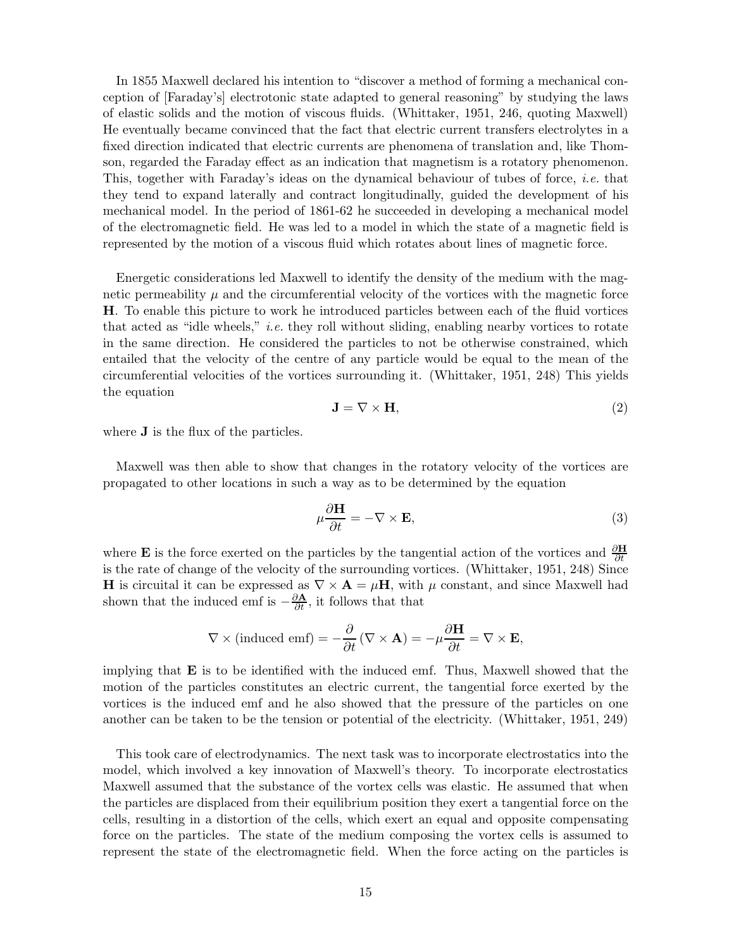In 1855 Maxwell declared his intention to "discover a method of forming a mechanical conception of [Faraday's] electrotonic state adapted to general reasoning" by studying the laws of elastic solids and the motion of viscous fluids. (Whittaker, 1951, 246, quoting Maxwell) He eventually became convinced that the fact that electric current transfers electrolytes in a fixed direction indicated that electric currents are phenomena of translation and, like Thomson, regarded the Faraday effect as an indication that magnetism is a rotatory phenomenon. This, together with Faraday's ideas on the dynamical behaviour of tubes of force, i.e. that they tend to expand laterally and contract longitudinally, guided the development of his mechanical model. In the period of 1861-62 he succeeded in developing a mechanical model of the electromagnetic field. He was led to a model in which the state of a magnetic field is represented by the motion of a viscous fluid which rotates about lines of magnetic force.

Energetic considerations led Maxwell to identify the density of the medium with the magnetic permeability  $\mu$  and the circumferential velocity of the vortices with the magnetic force H. To enable this picture to work he introduced particles between each of the fluid vortices that acted as "idle wheels," *i.e.* they roll without sliding, enabling nearby vortices to rotate in the same direction. He considered the particles to not be otherwise constrained, which entailed that the velocity of the centre of any particle would be equal to the mean of the circumferential velocities of the vortices surrounding it. (Whittaker, 1951, 248) This yields the equation

$$
\mathbf{J} = \nabla \times \mathbf{H},\tag{2}
$$

where **J** is the flux of the particles.

Maxwell was then able to show that changes in the rotatory velocity of the vortices are propagated to other locations in such a way as to be determined by the equation

$$
\mu \frac{\partial \mathbf{H}}{\partial t} = -\nabla \times \mathbf{E},\tag{3}
$$

where **E** is the force exerted on the particles by the tangential action of the vortices and  $\frac{\partial \mathbf{H}}{\partial t}$ is the rate of change of the velocity of the surrounding vortices. (Whittaker, 1951, 248) Since **H** is circuital it can be expressed as  $\nabla \times \mathbf{A} = \mu \mathbf{H}$ , with  $\mu$  constant, and since Maxwell had shown that the induced emf is  $-\frac{\partial \mathbf{A}}{\partial t}$ , it follows that that

$$
\nabla \times (\text{induced emf}) = -\frac{\partial}{\partial t} (\nabla \times \mathbf{A}) = -\mu \frac{\partial \mathbf{H}}{\partial t} = \nabla \times \mathbf{E},
$$

implying that  $E$  is to be identified with the induced emf. Thus, Maxwell showed that the motion of the particles constitutes an electric current, the tangential force exerted by the vortices is the induced emf and he also showed that the pressure of the particles on one another can be taken to be the tension or potential of the electricity. (Whittaker, 1951, 249)

This took care of electrodynamics. The next task was to incorporate electrostatics into the model, which involved a key innovation of Maxwell's theory. To incorporate electrostatics Maxwell assumed that the substance of the vortex cells was elastic. He assumed that when the particles are displaced from their equilibrium position they exert a tangential force on the cells, resulting in a distortion of the cells, which exert an equal and opposite compensating force on the particles. The state of the medium composing the vortex cells is assumed to represent the state of the electromagnetic field. When the force acting on the particles is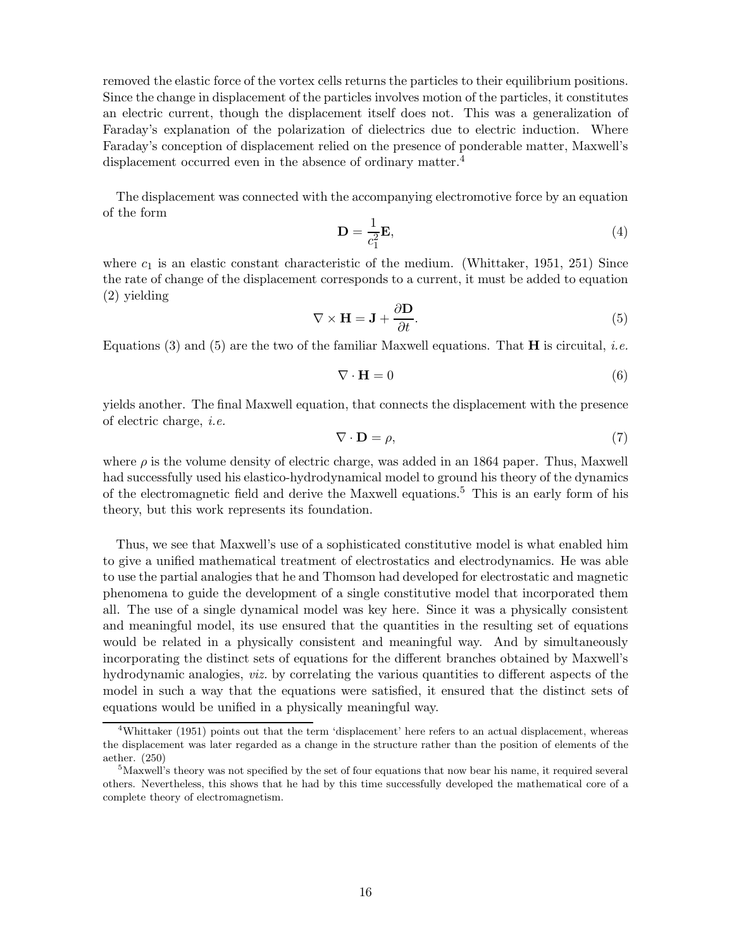removed the elastic force of the vortex cells returns the particles to their equilibrium positions. Since the change in displacement of the particles involves motion of the particles, it constitutes an electric current, though the displacement itself does not. This was a generalization of Faraday's explanation of the polarization of dielectrics due to electric induction. Where Faraday's conception of displacement relied on the presence of ponderable matter, Maxwell's displacement occurred even in the absence of ordinary matter.<sup>4</sup>

The displacement was connected with the accompanying electromotive force by an equation of the form

$$
\mathbf{D} = \frac{1}{c_1^2} \mathbf{E},\tag{4}
$$

where  $c_1$  is an elastic constant characteristic of the medium. (Whittaker, 1951, 251) Since the rate of change of the displacement corresponds to a current, it must be added to equation (2) yielding

$$
\nabla \times \mathbf{H} = \mathbf{J} + \frac{\partial \mathbf{D}}{\partial t}.
$$
 (5)

Equations (3) and (5) are the two of the familiar Maxwell equations. That  $\bf{H}$  is circuital, *i.e.* 

$$
\nabla \cdot \mathbf{H} = 0 \tag{6}
$$

yields another. The final Maxwell equation, that connects the displacement with the presence of electric charge, i.e.

$$
\nabla \cdot \mathbf{D} = \rho,\tag{7}
$$

where  $\rho$  is the volume density of electric charge, was added in an 1864 paper. Thus, Maxwell had successfully used his elastico-hydrodynamical model to ground his theory of the dynamics of the electromagnetic field and derive the Maxwell equations.<sup>5</sup> This is an early form of his theory, but this work represents its foundation.

Thus, we see that Maxwell's use of a sophisticated constitutive model is what enabled him to give a unified mathematical treatment of electrostatics and electrodynamics. He was able to use the partial analogies that he and Thomson had developed for electrostatic and magnetic phenomena to guide the development of a single constitutive model that incorporated them all. The use of a single dynamical model was key here. Since it was a physically consistent and meaningful model, its use ensured that the quantities in the resulting set of equations would be related in a physically consistent and meaningful way. And by simultaneously incorporating the distinct sets of equations for the different branches obtained by Maxwell's hydrodynamic analogies, *viz.* by correlating the various quantities to different aspects of the model in such a way that the equations were satisfied, it ensured that the distinct sets of equations would be unified in a physically meaningful way.

<sup>4</sup>Whittaker (1951) points out that the term 'displacement' here refers to an actual displacement, whereas the displacement was later regarded as a change in the structure rather than the position of elements of the aether. (250)

<sup>5</sup>Maxwell's theory was not specified by the set of four equations that now bear his name, it required several others. Nevertheless, this shows that he had by this time successfully developed the mathematical core of a complete theory of electromagnetism.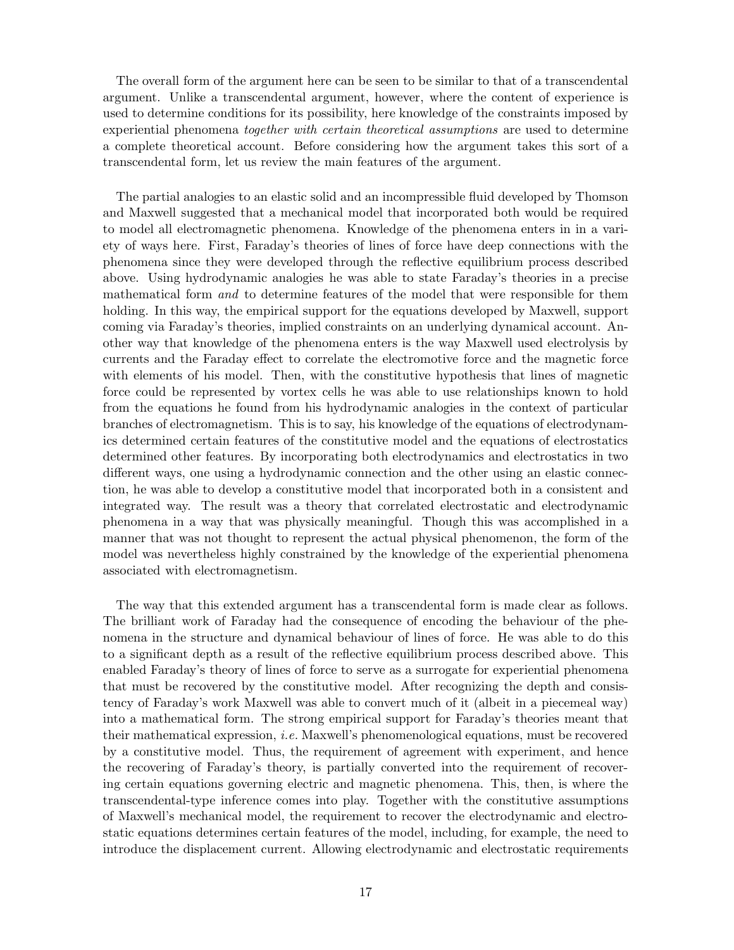The overall form of the argument here can be seen to be similar to that of a transcendental argument. Unlike a transcendental argument, however, where the content of experience is used to determine conditions for its possibility, here knowledge of the constraints imposed by experiential phenomena together with certain theoretical assumptions are used to determine a complete theoretical account. Before considering how the argument takes this sort of a transcendental form, let us review the main features of the argument.

The partial analogies to an elastic solid and an incompressible fluid developed by Thomson and Maxwell suggested that a mechanical model that incorporated both would be required to model all electromagnetic phenomena. Knowledge of the phenomena enters in in a variety of ways here. First, Faraday's theories of lines of force have deep connections with the phenomena since they were developed through the reflective equilibrium process described above. Using hydrodynamic analogies he was able to state Faraday's theories in a precise mathematical form and to determine features of the model that were responsible for them holding. In this way, the empirical support for the equations developed by Maxwell, support coming via Faraday's theories, implied constraints on an underlying dynamical account. Another way that knowledge of the phenomena enters is the way Maxwell used electrolysis by currents and the Faraday effect to correlate the electromotive force and the magnetic force with elements of his model. Then, with the constitutive hypothesis that lines of magnetic force could be represented by vortex cells he was able to use relationships known to hold from the equations he found from his hydrodynamic analogies in the context of particular branches of electromagnetism. This is to say, his knowledge of the equations of electrodynamics determined certain features of the constitutive model and the equations of electrostatics determined other features. By incorporating both electrodynamics and electrostatics in two different ways, one using a hydrodynamic connection and the other using an elastic connection, he was able to develop a constitutive model that incorporated both in a consistent and integrated way. The result was a theory that correlated electrostatic and electrodynamic phenomena in a way that was physically meaningful. Though this was accomplished in a manner that was not thought to represent the actual physical phenomenon, the form of the model was nevertheless highly constrained by the knowledge of the experiential phenomena associated with electromagnetism.

The way that this extended argument has a transcendental form is made clear as follows. The brilliant work of Faraday had the consequence of encoding the behaviour of the phenomena in the structure and dynamical behaviour of lines of force. He was able to do this to a significant depth as a result of the reflective equilibrium process described above. This enabled Faraday's theory of lines of force to serve as a surrogate for experiential phenomena that must be recovered by the constitutive model. After recognizing the depth and consistency of Faraday's work Maxwell was able to convert much of it (albeit in a piecemeal way) into a mathematical form. The strong empirical support for Faraday's theories meant that their mathematical expression, i.e. Maxwell's phenomenological equations, must be recovered by a constitutive model. Thus, the requirement of agreement with experiment, and hence the recovering of Faraday's theory, is partially converted into the requirement of recovering certain equations governing electric and magnetic phenomena. This, then, is where the transcendental-type inference comes into play. Together with the constitutive assumptions of Maxwell's mechanical model, the requirement to recover the electrodynamic and electrostatic equations determines certain features of the model, including, for example, the need to introduce the displacement current. Allowing electrodynamic and electrostatic requirements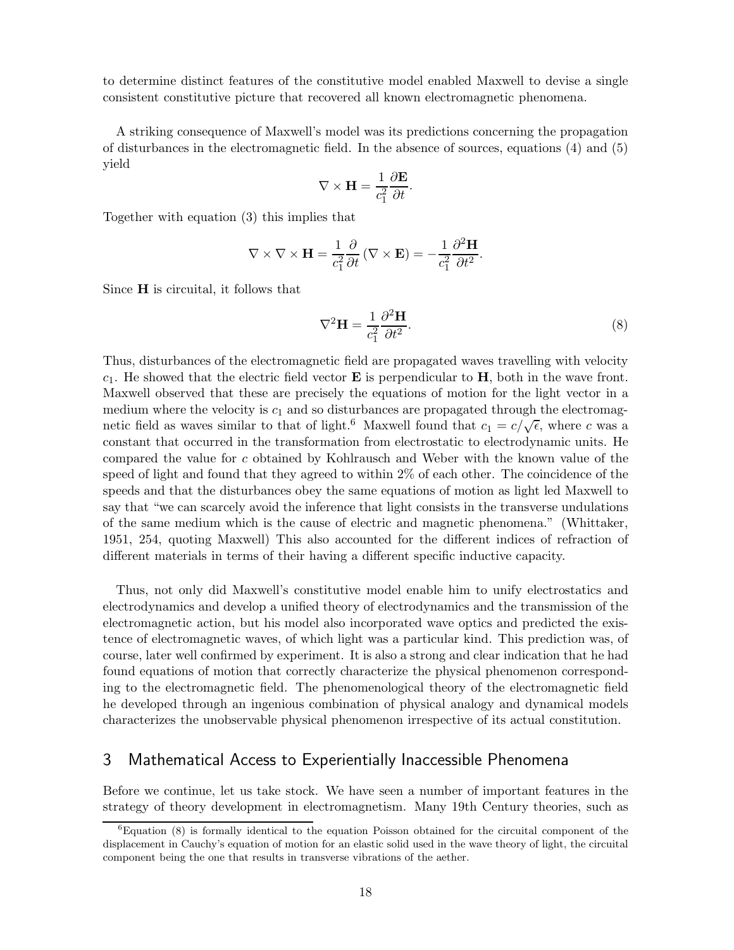to determine distinct features of the constitutive model enabled Maxwell to devise a single consistent constitutive picture that recovered all known electromagnetic phenomena.

A striking consequence of Maxwell's model was its predictions concerning the propagation of disturbances in the electromagnetic field. In the absence of sources, equations (4) and (5) yield

$$
\nabla \times \mathbf{H} = \frac{1}{c_1^2} \frac{\partial \mathbf{E}}{\partial t}.
$$

Together with equation (3) this implies that

$$
\nabla \times \nabla \times \mathbf{H} = \frac{1}{c_1^2} \frac{\partial}{\partial t} (\nabla \times \mathbf{E}) = -\frac{1}{c_1^2} \frac{\partial^2 \mathbf{H}}{\partial t^2}.
$$

Since H is circuital, it follows that

$$
\nabla^2 \mathbf{H} = \frac{1}{c_1^2} \frac{\partial^2 \mathbf{H}}{\partial t^2}.
$$
 (8)

Thus, disturbances of the electromagnetic field are propagated waves travelling with velocity  $c_1$ . He showed that the electric field vector **E** is perpendicular to **H**, both in the wave front. Maxwell observed that these are precisely the equations of motion for the light vector in a medium where the velocity is  $c_1$  and so disturbances are propagated through the electromagnetic field as waves similar to that of light.<sup>6</sup> Maxwell found that  $c_1 = c/\sqrt{\epsilon}$ , where c was a constant that occurred in the transformation from electrostatic to electrodynamic units. He compared the value for c obtained by Kohlrausch and Weber with the known value of the speed of light and found that they agreed to within 2% of each other. The coincidence of the speeds and that the disturbances obey the same equations of motion as light led Maxwell to say that "we can scarcely avoid the inference that light consists in the transverse undulations of the same medium which is the cause of electric and magnetic phenomena." (Whittaker, 1951, 254, quoting Maxwell) This also accounted for the different indices of refraction of different materials in terms of their having a different specific inductive capacity.

Thus, not only did Maxwell's constitutive model enable him to unify electrostatics and electrodynamics and develop a unified theory of electrodynamics and the transmission of the electromagnetic action, but his model also incorporated wave optics and predicted the existence of electromagnetic waves, of which light was a particular kind. This prediction was, of course, later well confirmed by experiment. It is also a strong and clear indication that he had found equations of motion that correctly characterize the physical phenomenon corresponding to the electromagnetic field. The phenomenological theory of the electromagnetic field he developed through an ingenious combination of physical analogy and dynamical models characterizes the unobservable physical phenomenon irrespective of its actual constitution.

### 3 Mathematical Access to Experientially Inaccessible Phenomena

Before we continue, let us take stock. We have seen a number of important features in the strategy of theory development in electromagnetism. Many 19th Century theories, such as

<sup>6</sup>Equation (8) is formally identical to the equation Poisson obtained for the circuital component of the displacement in Cauchy's equation of motion for an elastic solid used in the wave theory of light, the circuital component being the one that results in transverse vibrations of the aether.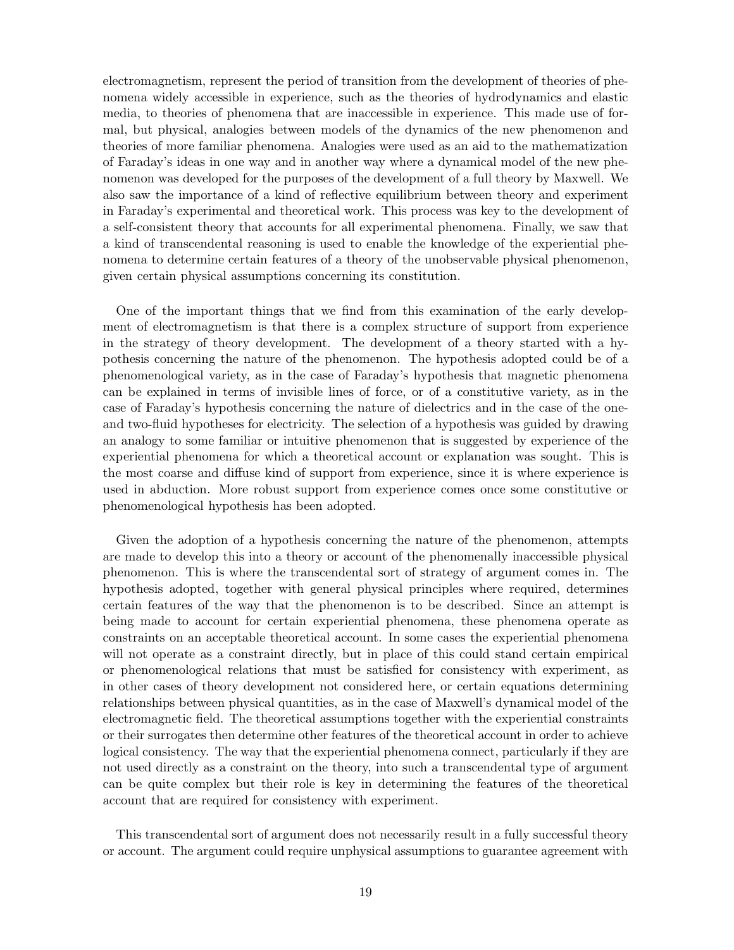electromagnetism, represent the period of transition from the development of theories of phenomena widely accessible in experience, such as the theories of hydrodynamics and elastic media, to theories of phenomena that are inaccessible in experience. This made use of formal, but physical, analogies between models of the dynamics of the new phenomenon and theories of more familiar phenomena. Analogies were used as an aid to the mathematization of Faraday's ideas in one way and in another way where a dynamical model of the new phenomenon was developed for the purposes of the development of a full theory by Maxwell. We also saw the importance of a kind of reflective equilibrium between theory and experiment in Faraday's experimental and theoretical work. This process was key to the development of a self-consistent theory that accounts for all experimental phenomena. Finally, we saw that a kind of transcendental reasoning is used to enable the knowledge of the experiential phenomena to determine certain features of a theory of the unobservable physical phenomenon, given certain physical assumptions concerning its constitution.

One of the important things that we find from this examination of the early development of electromagnetism is that there is a complex structure of support from experience in the strategy of theory development. The development of a theory started with a hypothesis concerning the nature of the phenomenon. The hypothesis adopted could be of a phenomenological variety, as in the case of Faraday's hypothesis that magnetic phenomena can be explained in terms of invisible lines of force, or of a constitutive variety, as in the case of Faraday's hypothesis concerning the nature of dielectrics and in the case of the oneand two-fluid hypotheses for electricity. The selection of a hypothesis was guided by drawing an analogy to some familiar or intuitive phenomenon that is suggested by experience of the experiential phenomena for which a theoretical account or explanation was sought. This is the most coarse and diffuse kind of support from experience, since it is where experience is used in abduction. More robust support from experience comes once some constitutive or phenomenological hypothesis has been adopted.

Given the adoption of a hypothesis concerning the nature of the phenomenon, attempts are made to develop this into a theory or account of the phenomenally inaccessible physical phenomenon. This is where the transcendental sort of strategy of argument comes in. The hypothesis adopted, together with general physical principles where required, determines certain features of the way that the phenomenon is to be described. Since an attempt is being made to account for certain experiential phenomena, these phenomena operate as constraints on an acceptable theoretical account. In some cases the experiential phenomena will not operate as a constraint directly, but in place of this could stand certain empirical or phenomenological relations that must be satisfied for consistency with experiment, as in other cases of theory development not considered here, or certain equations determining relationships between physical quantities, as in the case of Maxwell's dynamical model of the electromagnetic field. The theoretical assumptions together with the experiential constraints or their surrogates then determine other features of the theoretical account in order to achieve logical consistency. The way that the experiential phenomena connect, particularly if they are not used directly as a constraint on the theory, into such a transcendental type of argument can be quite complex but their role is key in determining the features of the theoretical account that are required for consistency with experiment.

This transcendental sort of argument does not necessarily result in a fully successful theory or account. The argument could require unphysical assumptions to guarantee agreement with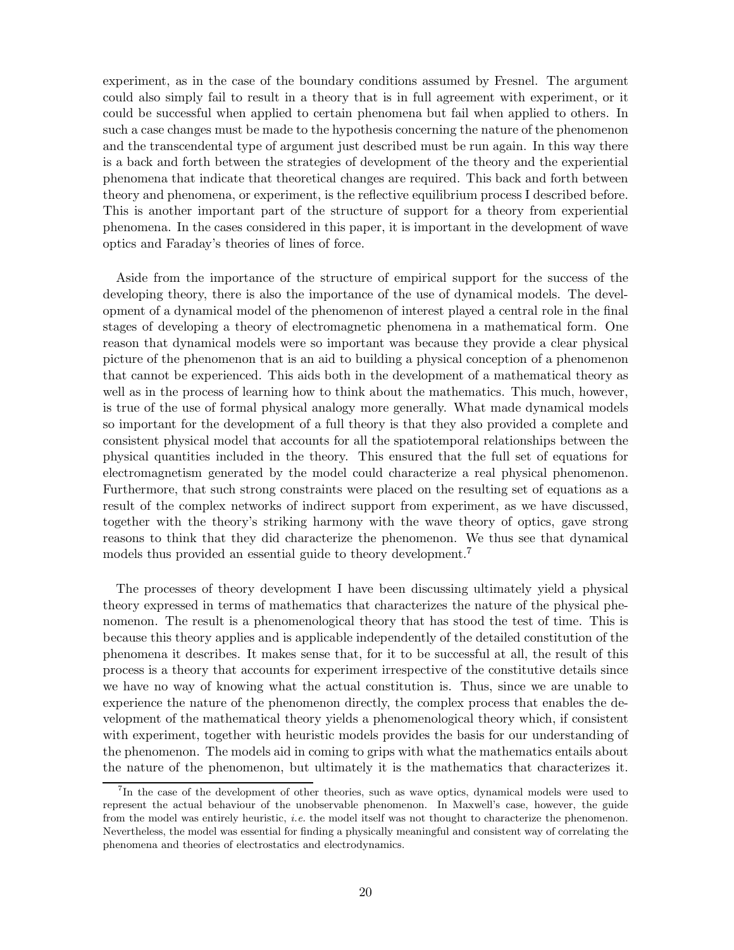experiment, as in the case of the boundary conditions assumed by Fresnel. The argument could also simply fail to result in a theory that is in full agreement with experiment, or it could be successful when applied to certain phenomena but fail when applied to others. In such a case changes must be made to the hypothesis concerning the nature of the phenomenon and the transcendental type of argument just described must be run again. In this way there is a back and forth between the strategies of development of the theory and the experiential phenomena that indicate that theoretical changes are required. This back and forth between theory and phenomena, or experiment, is the reflective equilibrium process I described before. This is another important part of the structure of support for a theory from experiential phenomena. In the cases considered in this paper, it is important in the development of wave optics and Faraday's theories of lines of force.

Aside from the importance of the structure of empirical support for the success of the developing theory, there is also the importance of the use of dynamical models. The development of a dynamical model of the phenomenon of interest played a central role in the final stages of developing a theory of electromagnetic phenomena in a mathematical form. One reason that dynamical models were so important was because they provide a clear physical picture of the phenomenon that is an aid to building a physical conception of a phenomenon that cannot be experienced. This aids both in the development of a mathematical theory as well as in the process of learning how to think about the mathematics. This much, however, is true of the use of formal physical analogy more generally. What made dynamical models so important for the development of a full theory is that they also provided a complete and consistent physical model that accounts for all the spatiotemporal relationships between the physical quantities included in the theory. This ensured that the full set of equations for electromagnetism generated by the model could characterize a real physical phenomenon. Furthermore, that such strong constraints were placed on the resulting set of equations as a result of the complex networks of indirect support from experiment, as we have discussed, together with the theory's striking harmony with the wave theory of optics, gave strong reasons to think that they did characterize the phenomenon. We thus see that dynamical models thus provided an essential guide to theory development.<sup>7</sup>

The processes of theory development I have been discussing ultimately yield a physical theory expressed in terms of mathematics that characterizes the nature of the physical phenomenon. The result is a phenomenological theory that has stood the test of time. This is because this theory applies and is applicable independently of the detailed constitution of the phenomena it describes. It makes sense that, for it to be successful at all, the result of this process is a theory that accounts for experiment irrespective of the constitutive details since we have no way of knowing what the actual constitution is. Thus, since we are unable to experience the nature of the phenomenon directly, the complex process that enables the development of the mathematical theory yields a phenomenological theory which, if consistent with experiment, together with heuristic models provides the basis for our understanding of the phenomenon. The models aid in coming to grips with what the mathematics entails about the nature of the phenomenon, but ultimately it is the mathematics that characterizes it.

<sup>&</sup>lt;sup>7</sup>In the case of the development of other theories, such as wave optics, dynamical models were used to represent the actual behaviour of the unobservable phenomenon. In Maxwell's case, however, the guide from the model was entirely heuristic, *i.e.* the model itself was not thought to characterize the phenomenon. Nevertheless, the model was essential for finding a physically meaningful and consistent way of correlating the phenomena and theories of electrostatics and electrodynamics.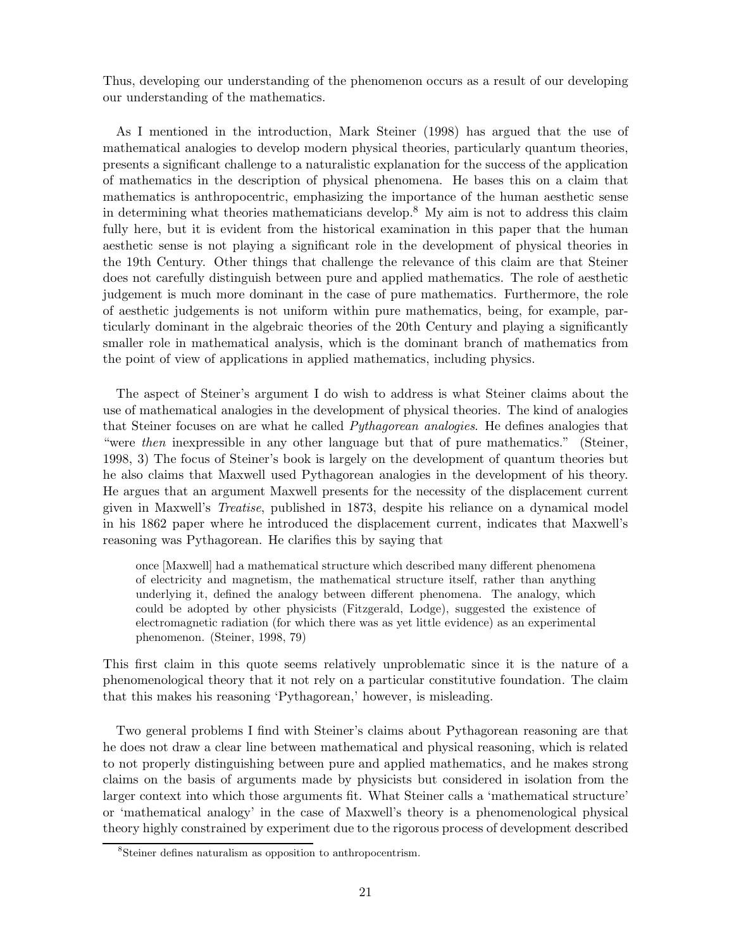Thus, developing our understanding of the phenomenon occurs as a result of our developing our understanding of the mathematics.

As I mentioned in the introduction, Mark Steiner (1998) has argued that the use of mathematical analogies to develop modern physical theories, particularly quantum theories, presents a significant challenge to a naturalistic explanation for the success of the application of mathematics in the description of physical phenomena. He bases this on a claim that mathematics is anthropocentric, emphasizing the importance of the human aesthetic sense in determining what theories mathematicians develop.<sup>8</sup> My aim is not to address this claim fully here, but it is evident from the historical examination in this paper that the human aesthetic sense is not playing a significant role in the development of physical theories in the 19th Century. Other things that challenge the relevance of this claim are that Steiner does not carefully distinguish between pure and applied mathematics. The role of aesthetic judgement is much more dominant in the case of pure mathematics. Furthermore, the role of aesthetic judgements is not uniform within pure mathematics, being, for example, particularly dominant in the algebraic theories of the 20th Century and playing a significantly smaller role in mathematical analysis, which is the dominant branch of mathematics from the point of view of applications in applied mathematics, including physics.

The aspect of Steiner's argument I do wish to address is what Steiner claims about the use of mathematical analogies in the development of physical theories. The kind of analogies that Steiner focuses on are what he called Pythagorean analogies. He defines analogies that "were then inexpressible in any other language but that of pure mathematics." (Steiner, 1998, 3) The focus of Steiner's book is largely on the development of quantum theories but he also claims that Maxwell used Pythagorean analogies in the development of his theory. He argues that an argument Maxwell presents for the necessity of the displacement current given in Maxwell's Treatise, published in 1873, despite his reliance on a dynamical model in his 1862 paper where he introduced the displacement current, indicates that Maxwell's reasoning was Pythagorean. He clarifies this by saying that

once [Maxwell] had a mathematical structure which described many different phenomena of electricity and magnetism, the mathematical structure itself, rather than anything underlying it, defined the analogy between different phenomena. The analogy, which could be adopted by other physicists (Fitzgerald, Lodge), suggested the existence of electromagnetic radiation (for which there was as yet little evidence) as an experimental phenomenon. (Steiner, 1998, 79)

This first claim in this quote seems relatively unproblematic since it is the nature of a phenomenological theory that it not rely on a particular constitutive foundation. The claim that this makes his reasoning 'Pythagorean,' however, is misleading.

Two general problems I find with Steiner's claims about Pythagorean reasoning are that he does not draw a clear line between mathematical and physical reasoning, which is related to not properly distinguishing between pure and applied mathematics, and he makes strong claims on the basis of arguments made by physicists but considered in isolation from the larger context into which those arguments fit. What Steiner calls a 'mathematical structure' or 'mathematical analogy' in the case of Maxwell's theory is a phenomenological physical theory highly constrained by experiment due to the rigorous process of development described

<sup>8</sup> Steiner defines naturalism as opposition to anthropocentrism.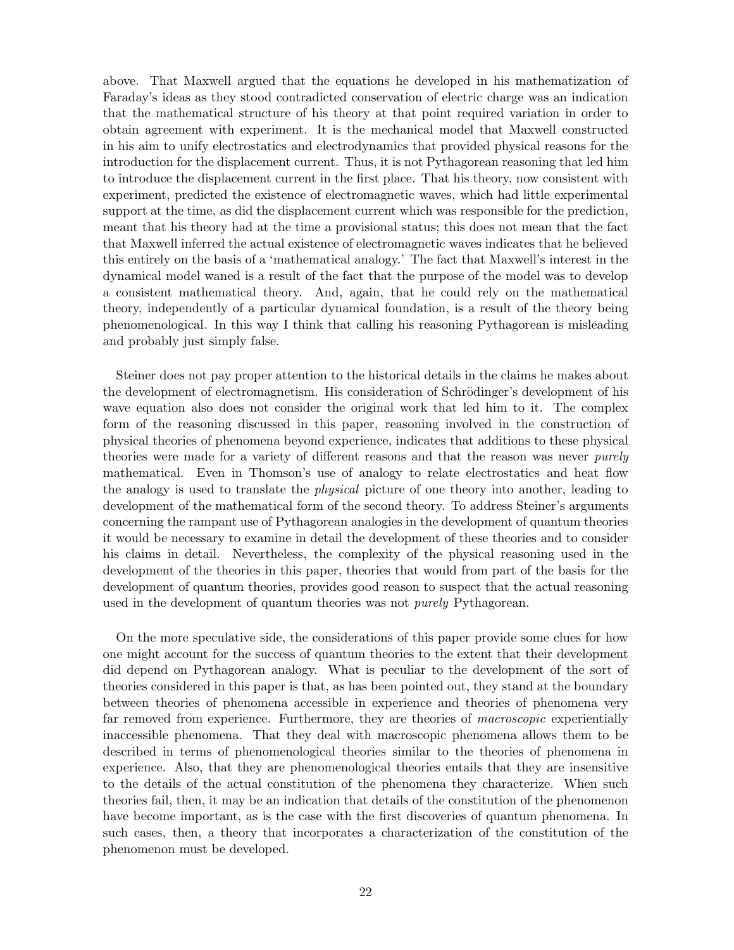above. That Maxwell argued that the equations he developed in his mathematization of Faraday's ideas as they stood contradicted conservation of electric charge was an indication that the mathematical structure of his theory at that point required variation in order to obtain agreement with experiment. It is the mechanical model that Maxwell constructed in his aim to unify electrostatics and electrodynamics that provided physical reasons for the introduction for the displacement current. Thus, it is not Pythagorean reasoning that led him to introduce the displacement current in the first place. That his theory, now consistent with experiment, predicted the existence of electromagnetic waves, which had little experimental support at the time, as did the displacement current which was responsible for the prediction, meant that his theory had at the time a provisional status; this does not mean that the fact that Maxwell inferred the actual existence of electromagnetic waves indicates that he believed this entirely on the basis of a 'mathematical analogy.' The fact that Maxwell's interest in the dynamical model waned is a result of the fact that the purpose of the model was to develop a consistent mathematical theory. And, again, that he could rely on the mathematical theory, independently of a particular dynamical foundation, is a result of the theory being phenomenological. In this way I think that calling his reasoning Pythagorean is misleading and probably just simply false.

Steiner does not pay proper attention to the historical details in the claims he makes about the development of electromagnetism. His consideration of Schrödinger's development of his wave equation also does not consider the original work that led him to it. The complex form of the reasoning discussed in this paper, reasoning involved in the construction of physical theories of phenomena beyond experience, indicates that additions to these physical theories were made for a variety of different reasons and that the reason was never purely mathematical. Even in Thomson's use of analogy to relate electrostatics and heat flow the analogy is used to translate the physical picture of one theory into another, leading to development of the mathematical form of the second theory. To address Steiner's arguments concerning the rampant use of Pythagorean analogies in the development of quantum theories it would be necessary to examine in detail the development of these theories and to consider his claims in detail. Nevertheless, the complexity of the physical reasoning used in the development of the theories in this paper, theories that would from part of the basis for the development of quantum theories, provides good reason to suspect that the actual reasoning used in the development of quantum theories was not *purely* Pythagorean.

On the more speculative side, the considerations of this paper provide some clues for how one might account for the success of quantum theories to the extent that their development did depend on Pythagorean analogy. What is peculiar to the development of the sort of theories considered in this paper is that, as has been pointed out, they stand at the boundary between theories of phenomena accessible in experience and theories of phenomena very far removed from experience. Furthermore, they are theories of *macroscopic* experientially inaccessible phenomena. That they deal with macroscopic phenomena allows them to be described in terms of phenomenological theories similar to the theories of phenomena in experience. Also, that they are phenomenological theories entails that they are insensitive to the details of the actual constitution of the phenomena they characterize. When such theories fail, then, it may be an indication that details of the constitution of the phenomenon have become important, as is the case with the first discoveries of quantum phenomena. In such cases, then, a theory that incorporates a characterization of the constitution of the phenomenon must be developed.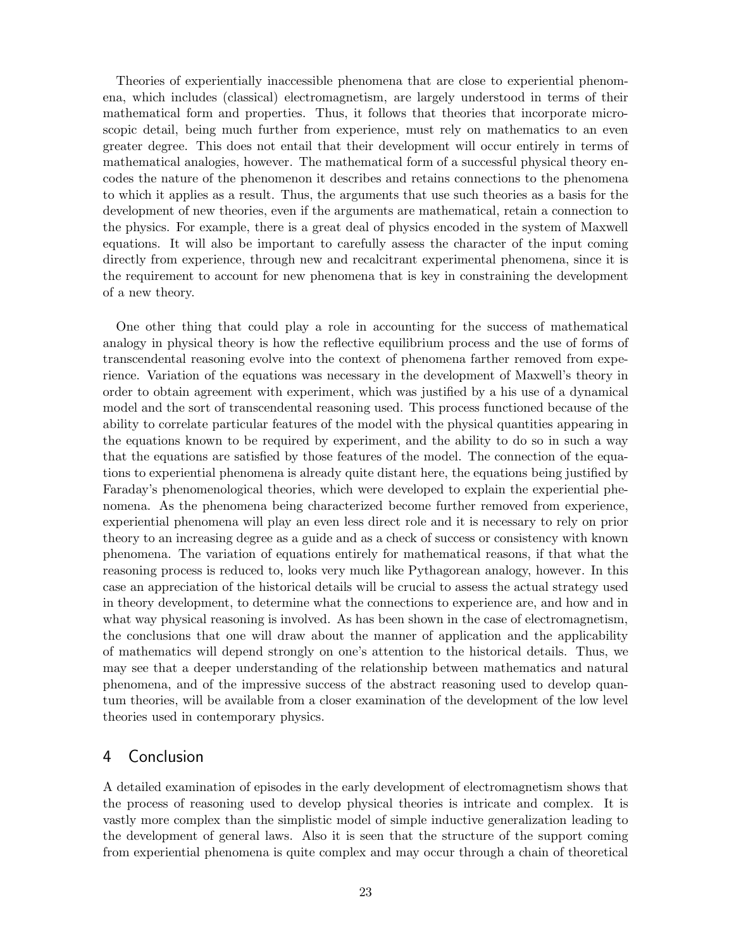Theories of experientially inaccessible phenomena that are close to experiential phenomena, which includes (classical) electromagnetism, are largely understood in terms of their mathematical form and properties. Thus, it follows that theories that incorporate microscopic detail, being much further from experience, must rely on mathematics to an even greater degree. This does not entail that their development will occur entirely in terms of mathematical analogies, however. The mathematical form of a successful physical theory encodes the nature of the phenomenon it describes and retains connections to the phenomena to which it applies as a result. Thus, the arguments that use such theories as a basis for the development of new theories, even if the arguments are mathematical, retain a connection to the physics. For example, there is a great deal of physics encoded in the system of Maxwell equations. It will also be important to carefully assess the character of the input coming directly from experience, through new and recalcitrant experimental phenomena, since it is the requirement to account for new phenomena that is key in constraining the development of a new theory.

One other thing that could play a role in accounting for the success of mathematical analogy in physical theory is how the reflective equilibrium process and the use of forms of transcendental reasoning evolve into the context of phenomena farther removed from experience. Variation of the equations was necessary in the development of Maxwell's theory in order to obtain agreement with experiment, which was justified by a his use of a dynamical model and the sort of transcendental reasoning used. This process functioned because of the ability to correlate particular features of the model with the physical quantities appearing in the equations known to be required by experiment, and the ability to do so in such a way that the equations are satisfied by those features of the model. The connection of the equations to experiential phenomena is already quite distant here, the equations being justified by Faraday's phenomenological theories, which were developed to explain the experiential phenomena. As the phenomena being characterized become further removed from experience, experiential phenomena will play an even less direct role and it is necessary to rely on prior theory to an increasing degree as a guide and as a check of success or consistency with known phenomena. The variation of equations entirely for mathematical reasons, if that what the reasoning process is reduced to, looks very much like Pythagorean analogy, however. In this case an appreciation of the historical details will be crucial to assess the actual strategy used in theory development, to determine what the connections to experience are, and how and in what way physical reasoning is involved. As has been shown in the case of electromagnetism, the conclusions that one will draw about the manner of application and the applicability of mathematics will depend strongly on one's attention to the historical details. Thus, we may see that a deeper understanding of the relationship between mathematics and natural phenomena, and of the impressive success of the abstract reasoning used to develop quantum theories, will be available from a closer examination of the development of the low level theories used in contemporary physics.

### 4 Conclusion

A detailed examination of episodes in the early development of electromagnetism shows that the process of reasoning used to develop physical theories is intricate and complex. It is vastly more complex than the simplistic model of simple inductive generalization leading to the development of general laws. Also it is seen that the structure of the support coming from experiential phenomena is quite complex and may occur through a chain of theoretical